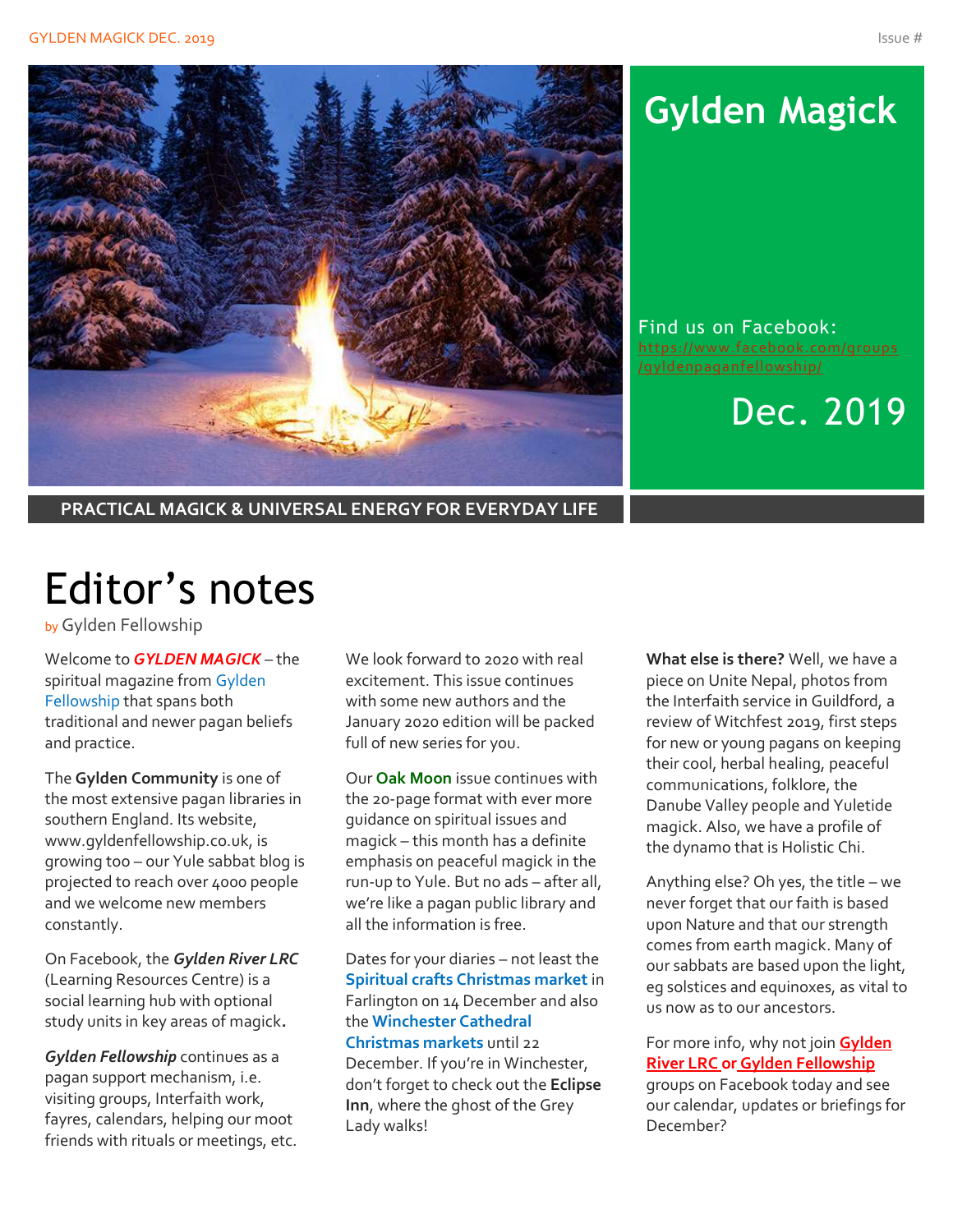

# **Gylden Magick**

Find us on Facebook: [https://www.facebook.com/groups](https://www.facebook.com/groups/gyldenpaganfellowship/) [/gyldenpaganfellowship/](https://www.facebook.com/groups/gyldenpaganfellowship/)

Dec. 2019

**PRACTICAL MAGICK & UNIVERSAL ENERGY FOR EVERYDAY LIFE**

# Editor's notes

by Gylden Fellowship

Welcome to *GYLDEN MAGICK* – the spiritual magazine from Gylden Fellowship that spans both traditional and newer pagan beliefs and practice.

The **Gylden Community** is one of the most extensive pagan libraries in southern England. Its website, www.gyldenfellowship.co.uk, is growing too – our Yule sabbat blog is projected to reach over 4000 people and we welcome new members constantly.

On Facebook, the *Gylden River LRC* (Learning Resources Centre) is a social learning hub with optional study units in key areas of magick*.*

*Gylden Fellowship* continues as a pagan support mechanism, i.e. visiting groups, Interfaith work, fayres, calendars, helping our moot friends with rituals or meetings, etc. We look forward to 2020 with real excitement. This issue continues with some new authors and the January 2020 edition will be packed full of new series for you.

Our **Oak Moon** issue continues with the 20-page format with ever more guidance on spiritual issues and magick – this month has a definite emphasis on peaceful magick in the run-up to Yule. But no ads – after all, we're like a pagan public library and all the information is free.

Dates for your diaries – not least the **Spiritual crafts Christmas market** in Farlington 0n 14 December and also the **Winchester Cathedral Christmas markets** until 22 December. If you're in Winchester, don't forget to check out the **Eclipse Inn**, where the ghost of the Grey Lady walks!

**What else is there?** Well, we have a piece on Unite Nepal, photos from the Interfaith service in Guildford, a review of Witchfest 2019, first steps for new or young pagans on keeping their cool, herbal healing, peaceful communications, folklore, the Danube Valley people and Yuletide magick. Also, we have a profile of the dynamo that is Holistic Chi.

Anything else? Oh yes, the title – we never forget that our faith is based upon Nature and that our strength comes from earth magick. Many of our sabbats are based upon the light, eg solstices and equinoxes, as vital to us now as to our ancestors.

For more info, why not join **Gylden River LRC or Gylden Fellowship** groups on Facebook today and see our calendar, updates or briefings for December?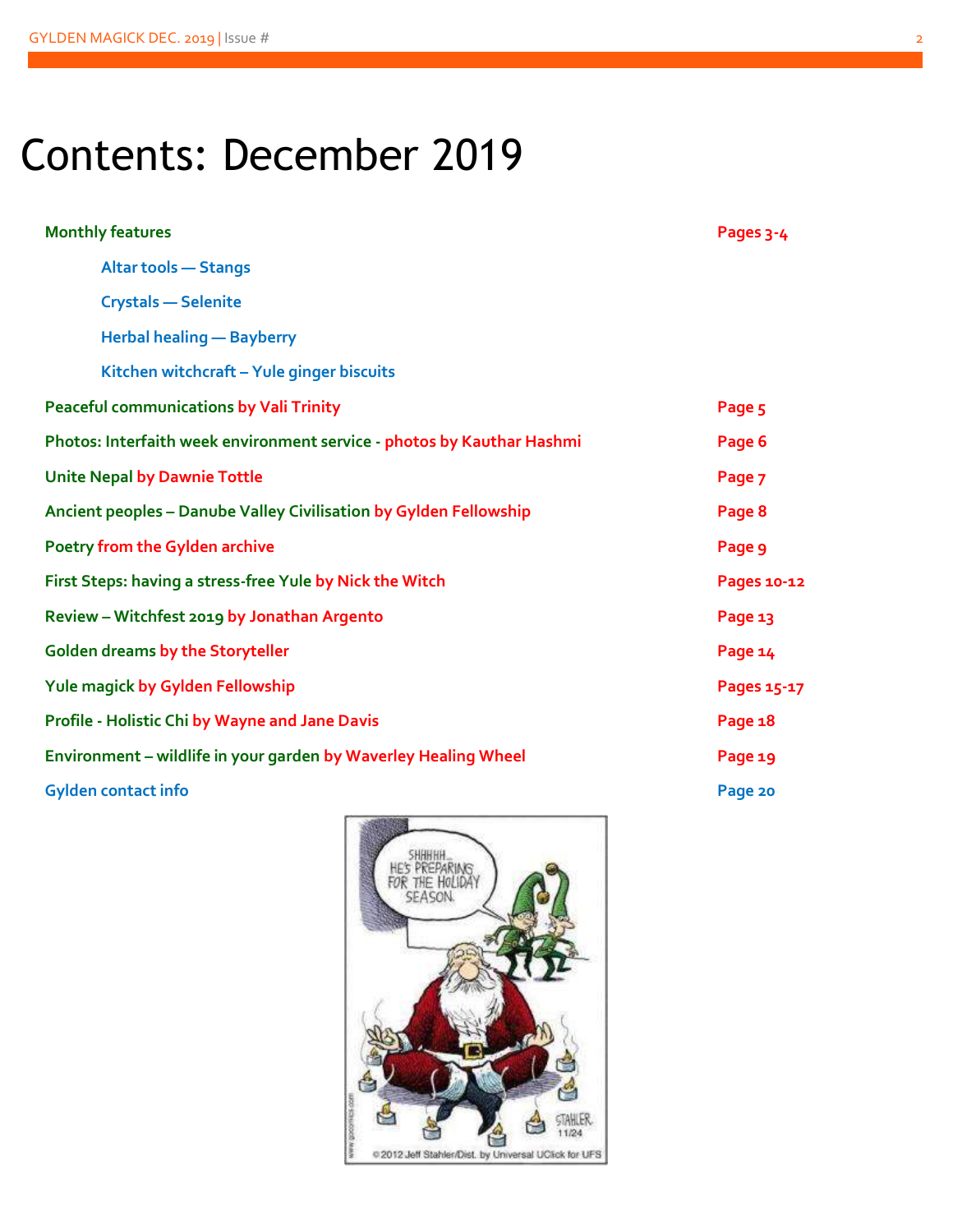# Contents: December 2019

| <b>Monthly features</b>                                                | Pages 3-4   |  |  |  |
|------------------------------------------------------------------------|-------------|--|--|--|
| <b>Altar tools - Stangs</b>                                            |             |  |  |  |
| <b>Crystals - Selenite</b>                                             |             |  |  |  |
| <b>Herbal healing - Bayberry</b>                                       |             |  |  |  |
| Kitchen witchcraft - Yule ginger biscuits                              |             |  |  |  |
| <b>Peaceful communications by Vali Trinity</b>                         | Page 5      |  |  |  |
| Photos: Interfaith week environment service - photos by Kauthar Hashmi | Page 6      |  |  |  |
| <b>Unite Nepal by Dawnie Tottle</b>                                    | Page 7      |  |  |  |
| Ancient peoples - Danube Valley Civilisation by Gylden Fellowship      | Page 8      |  |  |  |
| Poetry from the Gylden archive                                         | Page 9      |  |  |  |
| First Steps: having a stress-free Yule by Nick the Witch               | Pages 10-12 |  |  |  |
| Review - Witchfest 2019 by Jonathan Argento                            | Page 13     |  |  |  |
| <b>Golden dreams by the Storyteller</b>                                | Page 14     |  |  |  |
| Yule magick by Gylden Fellowship                                       | Pages 15-17 |  |  |  |
| Profile - Holistic Chi by Wayne and Jane Davis                         | Page 18     |  |  |  |
| Environment - wildlife in your garden by Waverley Healing Wheel        | Page 19     |  |  |  |
| <b>Gylden contact info</b>                                             |             |  |  |  |

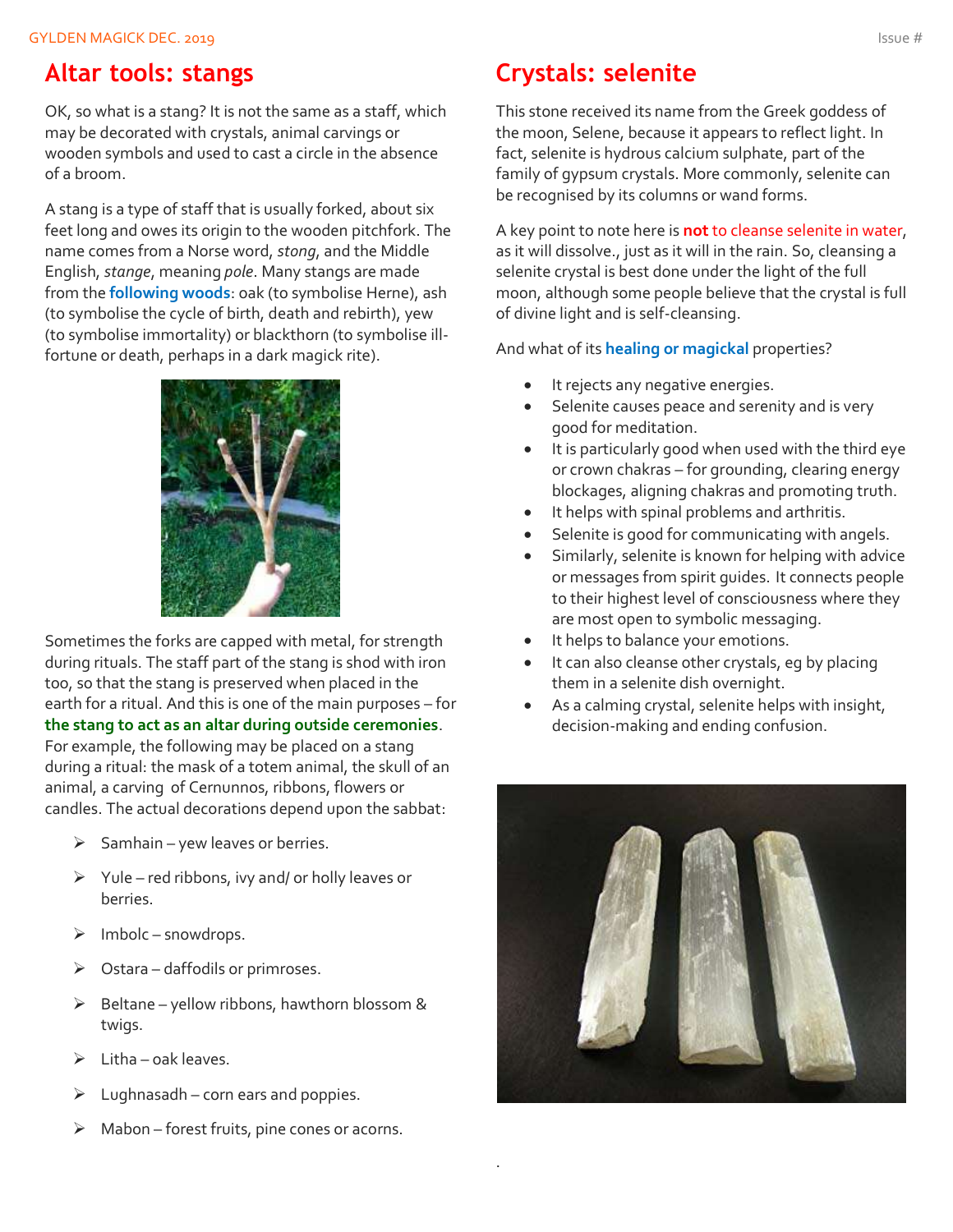# **Altar tools: stangs**

OK, so what is a stang? It is not the same as a staff, which may be decorated with crystals, animal carvings or wooden symbols and used to cast a circle in the absence of a broom.

A stang is a type of staff that is usually forked, about six feet long and owes its origin to the wooden pitchfork. The name comes from a Norse word, *stong*, and the Middle English, *stange*, meaning *pole*. Many stangs are made from the **following woods**: oak (to symbolise Herne), ash (to symbolise the cycle of birth, death and rebirth), yew (to symbolise immortality) or blackthorn (to symbolise illfortune or death, perhaps in a dark magick rite).



Sometimes the forks are capped with metal, for strength during rituals. The staff part of the stang is shod with iron too, so that the stang is preserved when placed in the earth for a ritual. And this is one of the main purposes – for **the stang to act as an altar during outside ceremonies**. For example, the following may be placed on a stang during a ritual: the mask of a totem animal, the skull of an animal, a carving of Cernunnos, ribbons, flowers or candles. The actual decorations depend upon the sabbat:

- $\triangleright$  Samhain yew leaves or berries.
- $\triangleright$  Yule red ribbons, ivy and/ or holly leaves or berries.
- $\triangleright$  Imbolc snowdrops.
- ➢ Ostara daffodils or primroses.
- Beltane yellow ribbons, hawthorn blossom & twigs.
- ➢ Litha oak leaves.
- ➢ Lughnasadh corn ears and poppies.
- $\triangleright$  Mabon forest fruits, pine cones or acorns.

# **Crystals: selenite**

This stone received its name from the Greek goddess of the moon, Selene, because it appears to reflect light. In fact, selenite is hydrous calcium sulphate, part of the family of gypsum crystals. More commonly, selenite can be recognised by its columns or wand forms.

A key point to note here is **not** to cleanse selenite in water, as it will dissolve., just as it will in the rain. So, cleansing a selenite crystal is best done under the light of the full moon, although some people believe that the crystal is full of divine light and is self-cleansing.

And what of its **healing or magickal** properties?

- It rejects any negative energies.
- Selenite causes peace and serenity and is very good for meditation.
- It is particularly good when used with the third eye or crown chakras – for grounding, clearing energy blockages, aligning chakras and promoting truth.
- It helps with spinal problems and arthritis.
- Selenite is good for communicating with angels.
- Similarly, selenite is known for helping with advice or messages from spirit guides. It connects people to their highest level of consciousness where they are most open to symbolic messaging.
- It helps to balance your emotions.
- It can also cleanse other crystals, eg by placing them in a selenite dish overnight.
- As a calming crystal, selenite helps with insight, decision-making and ending confusion.



.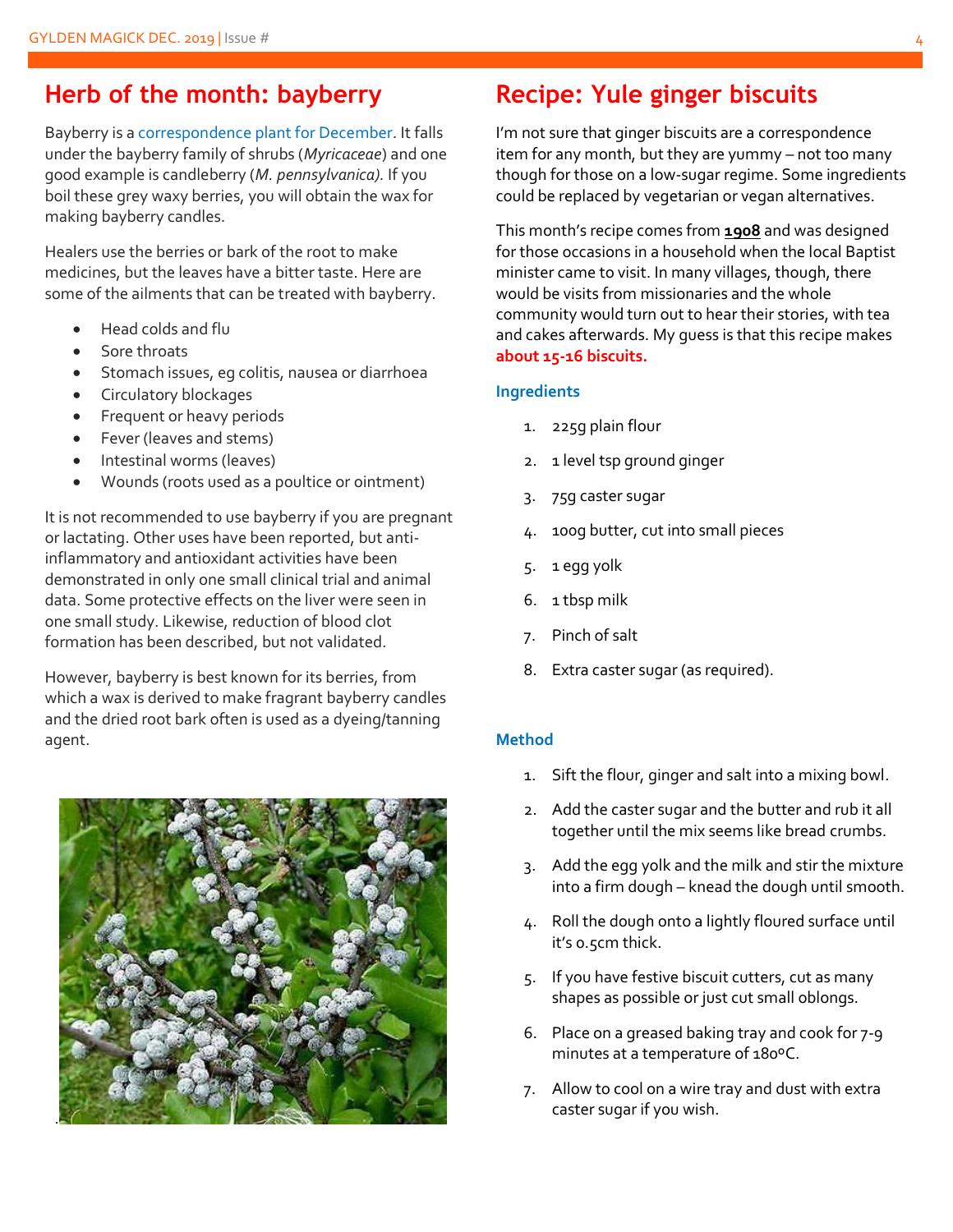# **Herb of the month: bayberry**

Bayberry is a correspondence plant for December. It falls under the bayberry family of shrubs (*Myricaceae*) and one good example is candleberry (*M. pennsylvanica).* If you boil these grey waxy berries, you will obtain the wax for making bayberry candles.

Healers use the berries or bark of the root to make medicines, but the leaves have a bitter taste. Here are some of the ailments that can be treated with bayberry.

- Head colds and flu
- Sore throats
- Stomach issues, eg colitis, nausea or diarrhoea
- Circulatory blockages
- Frequent or heavy periods
- Fever (leaves and stems)
- Intestinal worms (leaves)
- Wounds (roots used as a poultice or ointment)

It is not recommended to use bayberry if you are pregnant or lactating. Other uses have been reported, but antiinflammatory and antioxidant activities have been demonstrated in only one small clinical trial and animal data. Some protective effects on the liver were seen in one small study. Likewise, reduction of blood clot formation has been described, but not validated.

However, bayberry is best known for its berries, from which a wax is derived to make fragrant bayberry candles and the dried root bark often is used as a dyeing/tanning agent.



## **Recipe: Yule ginger biscuits**

I'm not sure that ginger biscuits are a correspondence item for any month, but they are yummy – not too many though for those on a low-sugar regime. Some ingredients could be replaced by vegetarian or vegan alternatives.

This month's recipe comes from **1908** and was designed for those occasions in a household when the local Baptist minister came to visit. In many villages, though, there would be visits from missionaries and the whole community would turn out to hear their stories, with tea and cakes afterwards. My guess is that this recipe makes **about 15-16 biscuits.**

#### **Ingredients**

- 1. 225g plain flour
- 2. 1 level tsp ground ginger
- 3. 75g caster sugar
- 100g butter, cut into small pieces
- 5. 1 egg yolk
- 6. 1 tbsp milk
- 7. Pinch of salt
- 8. Extra caster sugar (as required).

#### **Method**

- 1. Sift the flour, ginger and salt into a mixing bowl.
- 2. Add the caster sugar and the butter and rub it all together until the mix seems like bread crumbs.
- 3. Add the egg yolk and the milk and stir the mixture into a firm dough – knead the dough until smooth.
- 4. Roll the dough onto a lightly floured surface until it's 0.5cm thick.
- 5. If you have festive biscuit cutters, cut as many shapes as possible or just cut small oblongs.
- 6. Place on a greased baking tray and cook for 7-9 minutes at a temperature of 180ºC.
- 7. Allow to cool on a wire tray and dust with extra caster sugar if you wish.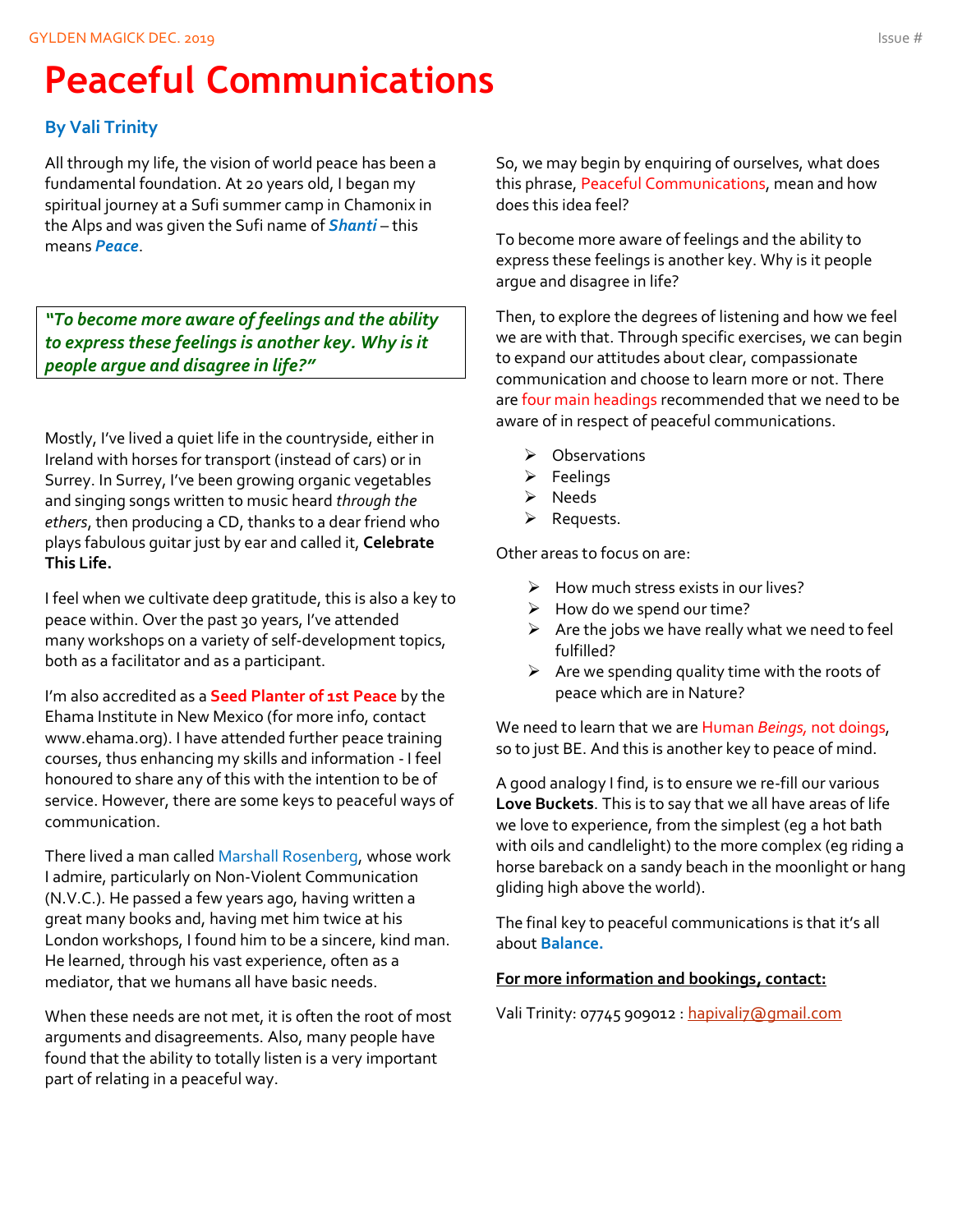# **Peaceful Communications**

## **By Vali Trinity**

All through my life, the vision of world peace has been a fundamental foundation. At 20 years old, I began my spiritual journey at a Sufi summer camp in Chamonix in the Alps and was given the Sufi name of *Shanti* – this means *Peace*.

*"To become more aware of feelings and the ability to express these feelings is another key. Why is it people argue and disagree in life?"*

Mostly, I've lived a quiet life in the countryside, either in Ireland with horses for transport (instead of cars) or in Surrey. In Surrey, I've been growing organic vegetables and singing songs written to music heard *through the ethers*, then producing a CD, thanks to a dear friend who plays fabulous guitar just by ear and called it, **Celebrate This Life.**

I feel when we cultivate deep gratitude, this is also a key to peace within. Over the past 30 years, I've attended many workshops on a variety of self-development topics, both as a facilitator and as a participant.

I'm also accredited as a **Seed Planter of 1st Peace** by the Ehama Institute in New Mexico (for more info, contact www.ehama.org). I have attended further peace training courses, thus enhancing my skills and information - I feel honoured to share any of this with the intention to be of service. However, there are some keys to peaceful ways of communication.

There lived a man called Marshall Rosenberg, whose work I admire, particularly on Non-Violent Communication (N.V.C.). He passed a few years ago, having written a great many books and, having met him twice at his London workshops, I found him to be a sincere, kind man. He learned, through his vast experience, often as a mediator, that we humans all have basic needs.

When these needs are not met, it is often the root of most arguments and disagreements. Also, many people have found that the ability to totally listen is a very important part of relating in a peaceful way.

So, we may begin by enquiring of ourselves, what does this phrase, Peaceful Communications, mean and how does this idea feel?

To become more aware of feelings and the ability to express these feelings is another key. Why is it people argue and disagree in life?

Then, to explore the degrees of listening and how we feel we are with that. Through specific exercises, we can begin to expand our attitudes about clear, compassionate communication and choose to learn more or not. There are four main headings recommended that we need to be aware of in respect of peaceful communications.

- ➢ Observations
- ➢ Feelings
- ➢ Needs
- ➢ Requests.

Other areas to focus on are:

- ➢ How much stress exists in our lives?
- $\triangleright$  How do we spend our time?
- $\triangleright$  Are the jobs we have really what we need to feel fulfilled?
- $\triangleright$  Are we spending quality time with the roots of peace which are in Nature?

We need to learn that we are Human *Beings,* not doings, so to just BE. And this is another key to peace of mind.

A good analogy I find, is to ensure we re-fill our various **Love Buckets**. This is to say that we all have areas of life we love to experience, from the simplest (eg a hot bath with oils and candlelight) to the more complex (eg riding a horse bareback on a sandy beach in the moonlight or hang gliding high above the world).

The final key to peaceful communications is that it's all about **Balance.**

#### **For more information and bookings, contact:**

Vali Trinity: 07745 909012 : [hapivali7@gmail.com](mailto:hapivali7@gmail.com)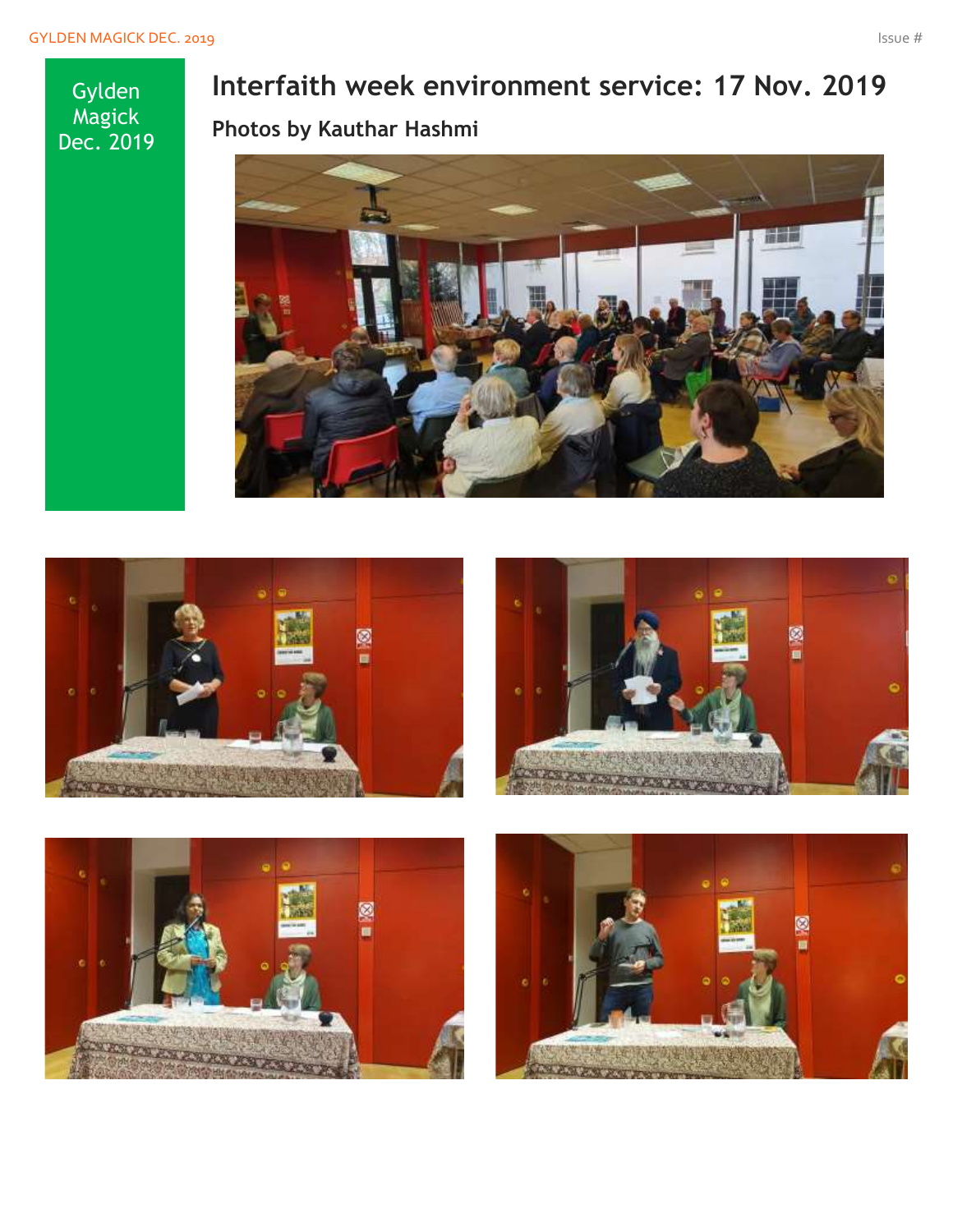Gylden Magick Dec. 2019 **Interfaith week environment service: 17 Nov. 2019 Photos by Kauthar Hashmi**









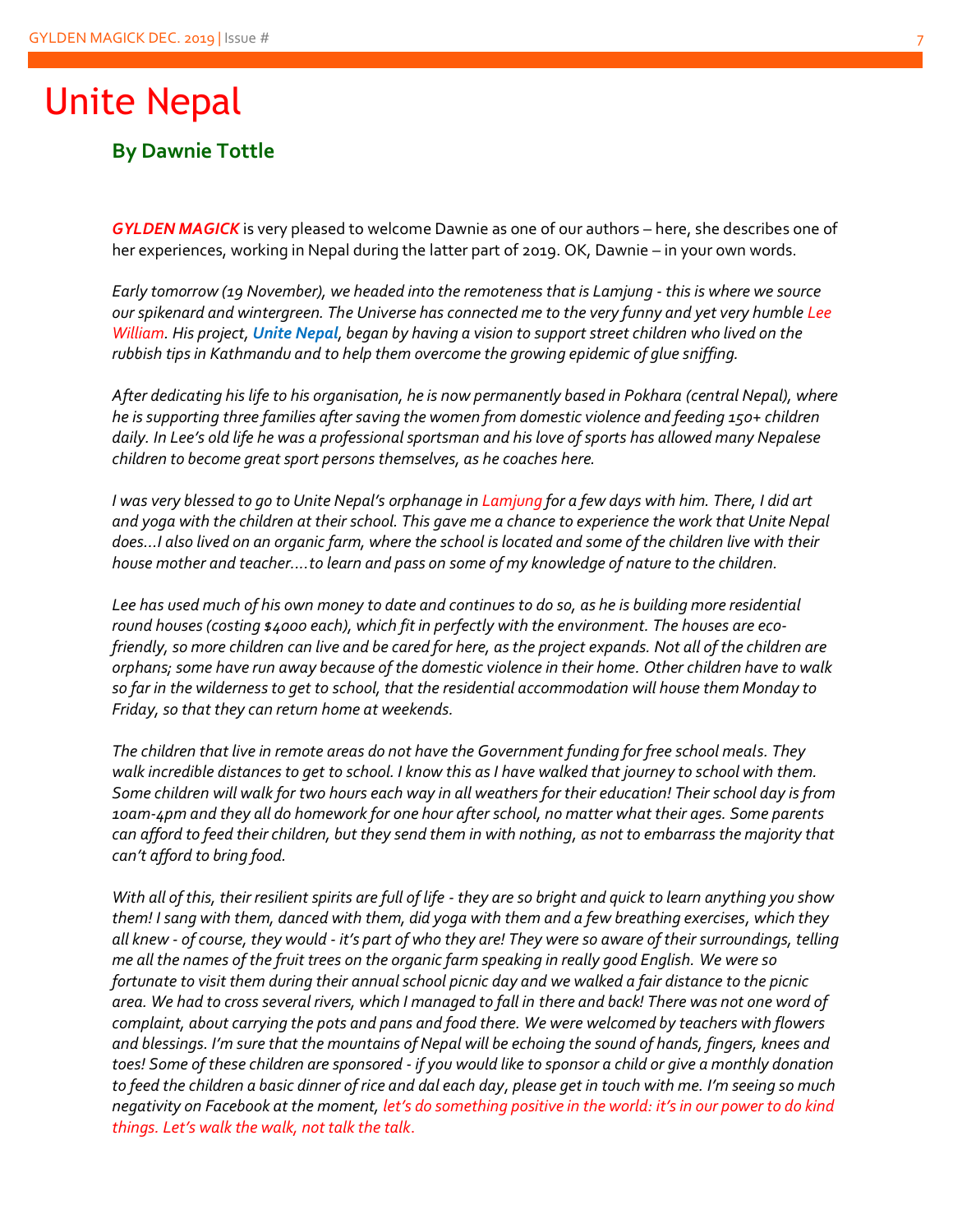# Unite Nepal

## **By Dawnie Tottle**

*GYLDEN MAGICK* is very pleased to welcome Dawnie as one of our authors – here, she describes one of her experiences, working in Nepal during the latter part of 2019. OK, Dawnie – in your own words.

*Early tomorrow (19 November), we headed into the remoteness that is Lamjung - this is where we source our spikenard and wintergreen. The Universe has connected me to the very funny and yet very humble Lee William. His project, Unite Nepal, began by having a vision to support street children who lived on the rubbish tips in Kathmandu and to help them overcome the growing epidemic of glue sniffing.*

*After dedicating his life to his organisation, he is now permanently based in Pokhara (central Nepal), where he is supporting three families after saving the women from domestic violence and feeding 150+ children daily. In Lee's old life he was a professional sportsman and his love of sports has allowed many Nepalese children to become great sport persons themselves, as he coaches here.*

*I was very blessed to go to Unite Nepal's orphanage in Lamjung for a few days with him. There, I did art and yoga with the children at their school. This gave me a chance to experience the work that Unite Nepal does…I also lived on an organic farm, where the school is located and some of the children live with their house mother and teacher....to learn and pass on some of my knowledge of nature to the children.* 

*Lee has used much of his own money to date and continues to do so, as he is building more residential round houses (costing \$4000 each), which fit in perfectly with the environment. The houses are ecofriendly, so more children can live and be cared for here, as the project expands. Not all of the children are orphans; some have run away because of the domestic violence in their home. Other children have to walk so far in the wilderness to get to school, that the residential accommodation will house them Monday to Friday, so that they can return home at weekends.* 

*The children that live in remote areas do not have the Government funding for free school meals. They walk incredible distances to get to school. I know this as I have walked that journey to school with them. Some children will walk for two hours each way in all weathers for their education! Their school day is from 10am-4pm and they all do homework for one hour after school, no matter what their ages. Some parents can afford to feed their children, but they send them in with nothing, as not to embarrass the majority that can't afford to bring food.*

*With all of this, their resilient spirits are full of life - they are so bright and quick to learn anything you show them! I sang with them, danced with them, did yoga with them and a few breathing exercises, which they all knew - of course, they would - it's part of who they are! They were so aware of their surroundings, telling me all the names of the fruit trees on the organic farm speaking in really good English. We were so fortunate to visit them during their annualschool picnic day and we walked a fair distance to the picnic area. We had to cross several rivers, which I managed to fall in there and back! There was not one word of complaint, about carrying the pots and pans and food there. We were welcomed by teachers with flowers and blessings. I'm sure that the mountains of Nepal will be echoing the sound of hands, fingers, knees and toes! Some of these children are sponsored - if you would like to sponsor a child or give a monthly donation to feed the children a basic dinner of rice and dal each day, please get in touch with me. I'm seeing so much negativity on Facebook at the moment, let's do something positive in the world: it's in our power to do kind things. Let's walk the walk, not talk the talk*.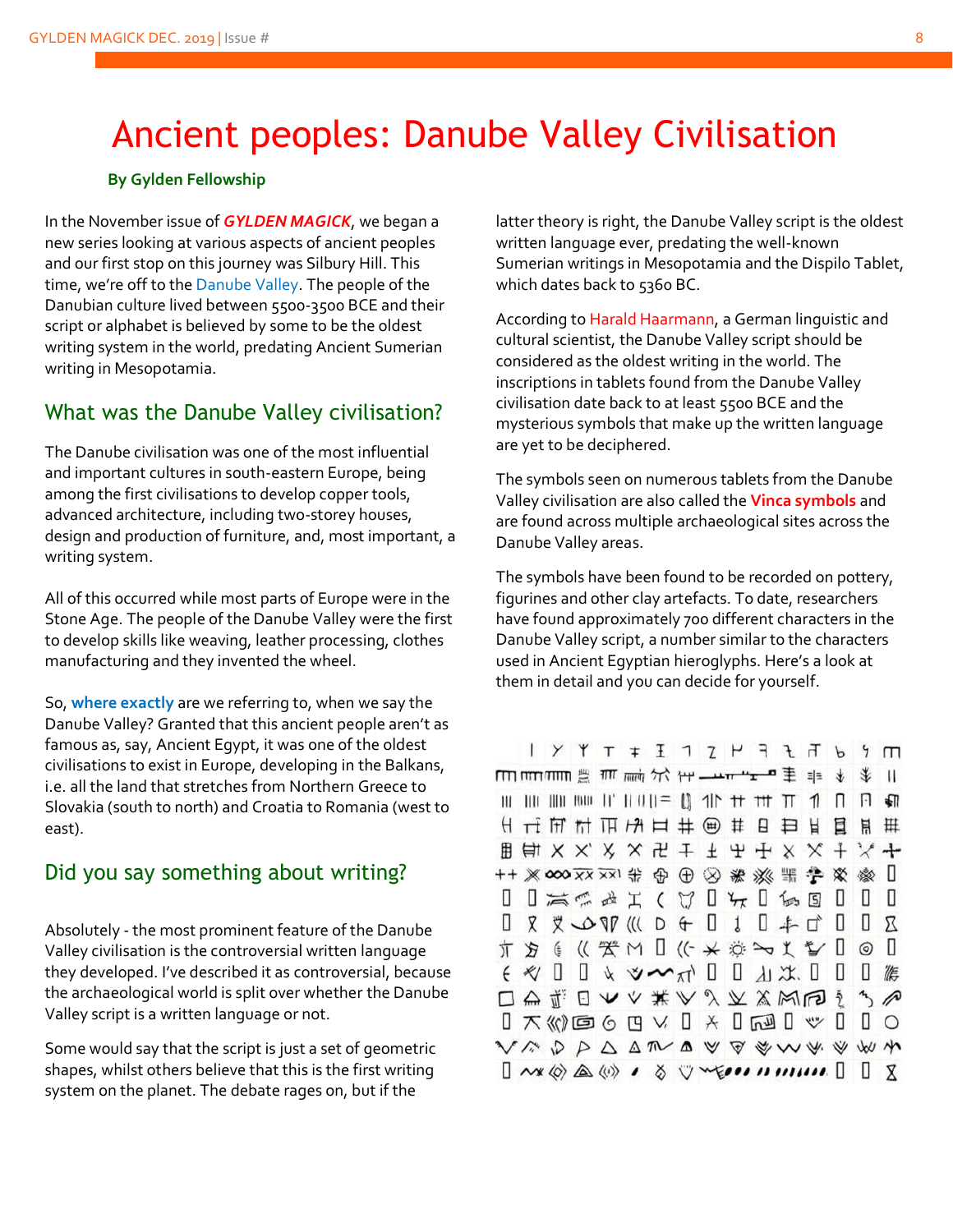# Ancient peoples: Danube Valley Civilisation

#### **By Gylden Fellowship**

In the November issue of *GYLDEN MAGICK*, we began a new series looking at various aspects of ancient peoples and our first stop on this journey was Silbury Hill. This time, we're off to the Danube Valley. The people of the Danubian culture lived between 5500-3500 BCE and their script or alphabet is believed by some to be the oldest writing system in the world, predating Ancient Sumerian writing in Mesopotamia.

### What was the Danube Valley civilisation?

The Danube civilisation was one of the most influential and important cultures in south-eastern Europe, being among the first civilisations to develop copper tools, advanced architecture, including two-storey houses, design and production of furniture, and, most important, a writing system.

All of this occurred while most parts of Europe were in the Stone Age. The people of the Danube Valley were the first to develop skills like weaving, leather processing, clothes manufacturing and they invented the wheel.

So, **where exactly** are we referring to, when we say the Danube Valley? Granted that this ancient people aren't as famous as, say, Ancient Egypt, it was one of the oldest civilisations to exist in Europe, developing in the Balkans, i.e. all the land that stretches from Northern Greece to Slovakia (south to north) and Croatia to Romania (west to east).

### Did you say something about writing?

Absolutely - the most prominent feature of the Danube Valley civilisation is the controversial written language they developed. I've described it as controversial, because the archaeological world is split over whether the Danube Valley script is a written language or not.

Some would say that the script is just a set of geometric shapes, whilst others believe that this is the first writing system on the planet. The debate rages on, but if the

latter theory is right, the Danube Valley script is the oldest written language ever, predating the well-known Sumerian writings in Mesopotamia and the Dispilo Tablet, which dates back to 5360 BC.

According to Harald Haarmann, a German linguistic and cultural scientist, the Danube Valley script should be considered as the oldest writing in the world. The inscriptions in tablets found from the Danube Valley civilisation date back to at least 5500 BCE and the mysterious symbols that make up the written language are yet to be deciphered.

The symbols seen on numerous tablets from the Danube Valley civilisation are also called the **Vinca symbols** and are found across multiple archaeological sites across the Danube Valley areas.

The symbols have been found to be recorded on pottery, figurines and other clay artefacts. To date, researchers have found approximately 700 different characters in the Danube Valley script, a number similar to the characters used in Ancient Egyptian hieroglyphs. Here's a look at them in detail and you can decide for yourself.

1 Y Y T + I 1 Z H 3 L T b 9 M  $\mathbb{H} \quad \mathbb{H} \quad \mathbb{H} \quad \mathbb{H} \quad \mathbb{H} \quad \mathbb{H} \quad \mathbb{H} \quad \mathbb{H} \quad \mathbb{H} \quad \mathbb{H} \quad \mathbb{H} \quad \mathbb{H} \quad \mathbb{H} \quad \mathbb{H} \quad \mathbb{H} \quad \mathbb{H} \quad \mathbb{H} \quad \mathbb{H} \quad \mathbb{H} \quad \mathbb{H} \quad \mathbb{H} \quad \mathbb{H} \quad \mathbb{H} \quad \mathbb{H} \quad \mathbb{H} \quad \mathbb{H} \quad \mathbb{H} \quad \mathbb{$ H T E E E E E E E E E E E E E  $\mathbb{B}$  # x x x x x x + + + + x x + + + 1 ※※キ罪 ※※④④ ※ 第 ××××× →+  $[] \qquad \qquad \blacksquare \qquad \qquad \blacksquare \qquad \qquad \blacksquare \qquad \blacksquare \qquad \blacksquare \qquad \blacksquare \qquad \blacksquare \qquad \blacksquare \qquad \blacksquare \qquad \blacksquare \qquad \blacksquare \qquad \blacksquare \qquad \blacksquare \qquad \blacksquare \qquad \blacksquare \qquad \blacksquare \qquad \blacksquare \qquad \blacksquare \qquad \blacksquare \qquad \blacksquare \qquad \blacksquare \qquad \blacksquare \qquad \blacksquare \qquad \blacksquare \qquad \blacksquare \qquad \blacksquare \qquad \blacksquare \qquad \blacksquare \qquad \blacksquare \qquad \blacksquare$  $[] \nvert X \nmid \mathcal{A} \rightarrow \mathcal{A} \nmid \mathcal{A} \nmid \mathcal{A} \rightarrow \mathcal{A} \nmid \mathcal{A} \nmid \mathcal{A} \rightarrow \mathcal{A} \nmid \mathcal{A} \nmid \mathcal{A} \nmid \mathcal{A} \rightarrow \mathcal{A} \nmid \mathcal{A} \nmid \mathcal{A} \nmid \mathcal{A} \nmid \mathcal{A} \nmid \mathcal{A} \nmid \mathcal{A} \nmid \mathcal{A} \nmid \mathcal{A} \nmid \mathcal{A} \nmid \mathcal{A} \nmid \mathcal{A} \nmid \mathcal{A} \nmid$ IO I A X X X Y IO X X Y IO  $\epsilon \ll 0$   $\alpha$   $\ll 0$   $\sim$   $\epsilon$   $\sim$   $\alpha$   $\sim$   $\alpha$   $\sim$   $\alpha$   $\sim$   $\alpha$   $\sim$   $\alpha$   $\sim$ 口ムボロレン米シスと公開にそう  $I \times \mathbb{R} \longrightarrow I \times I \times I \times I$ VADPAAMAVT&WXWWM  $\Box \land x \otimes \triangle \otimes \bullet$  ,  $\Diamond \lor \Diamond$  +  $\Diamond \neg$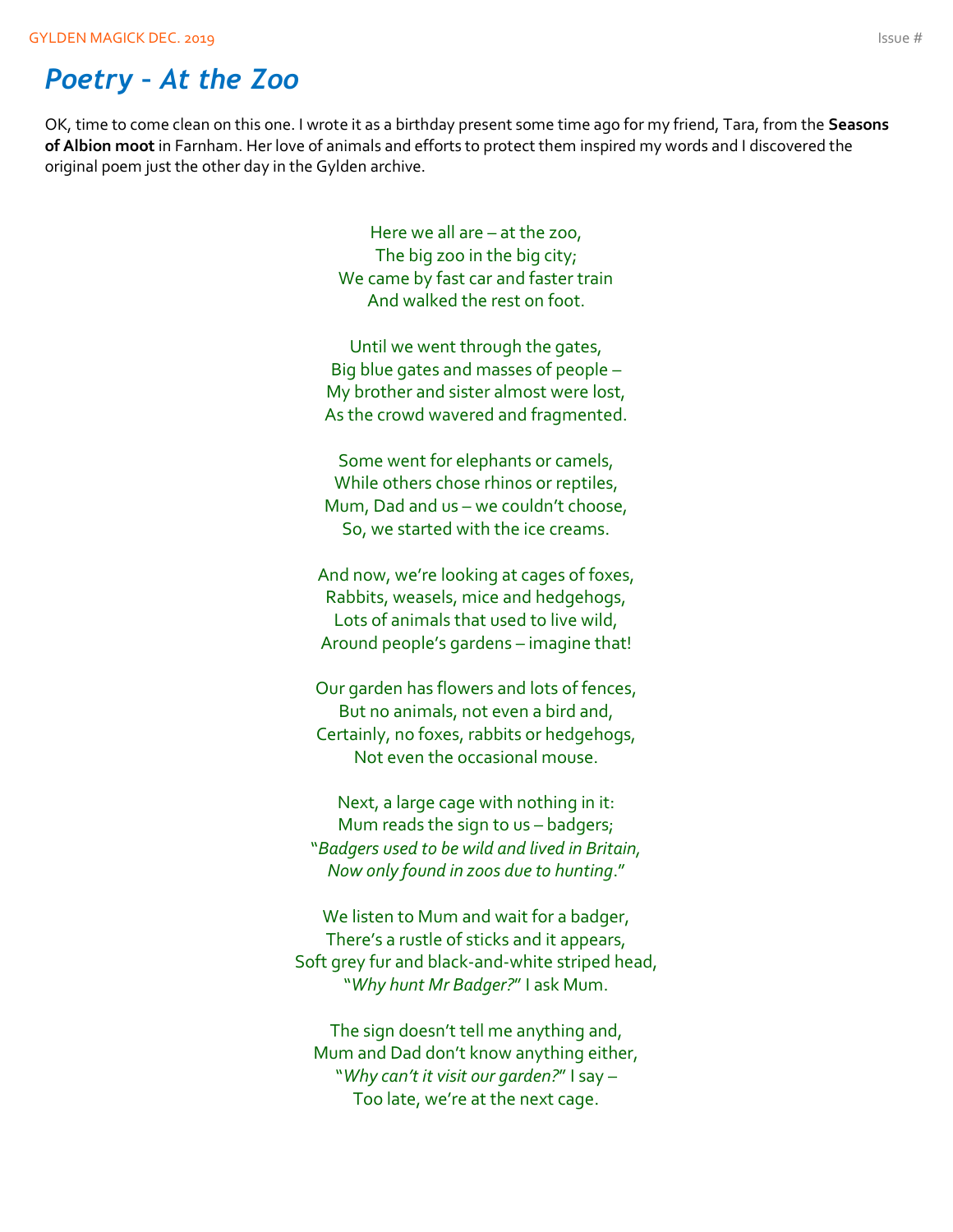# *Poetry – At the Zoo*

OK, time to come clean on this one. I wrote it as a birthday present some time ago for my friend, Tara, from the **Seasons of Albion moot** in Farnham. Her love of animals and efforts to protect them inspired my words and I discovered the original poem just the other day in the Gylden archive.

> Here we all are – at the zoo, The big zoo in the big city; We came by fast car and faster train And walked the rest on foot.

Until we went through the gates, Big blue gates and masses of people – My brother and sister almost were lost, As the crowd wavered and fragmented.

Some went for elephants or camels, While others chose rhinos or reptiles, Mum, Dad and us – we couldn't choose, So, we started with the ice creams.

And now, we're looking at cages of foxes, Rabbits, weasels, mice and hedgehogs, Lots of animals that used to live wild, Around people's gardens – imagine that!

Our garden has flowers and lots of fences, But no animals, not even a bird and, Certainly, no foxes, rabbits or hedgehogs, Not even the occasional mouse.

Next, a large cage with nothing in it: Mum reads the sign to us – badgers; "*Badgers used to be wild and lived in Britain, Now only found in zoos due to hunting*."

We listen to Mum and wait for a badger, There's a rustle of sticks and it appears, Soft grey fur and black-and-white striped head, "*Why hunt Mr Badger?*" I ask Mum.

The sign doesn't tell me anything and, Mum and Dad don't know anything either, "*Why can't it visit our garden?*" I say – Too late, we're at the next cage.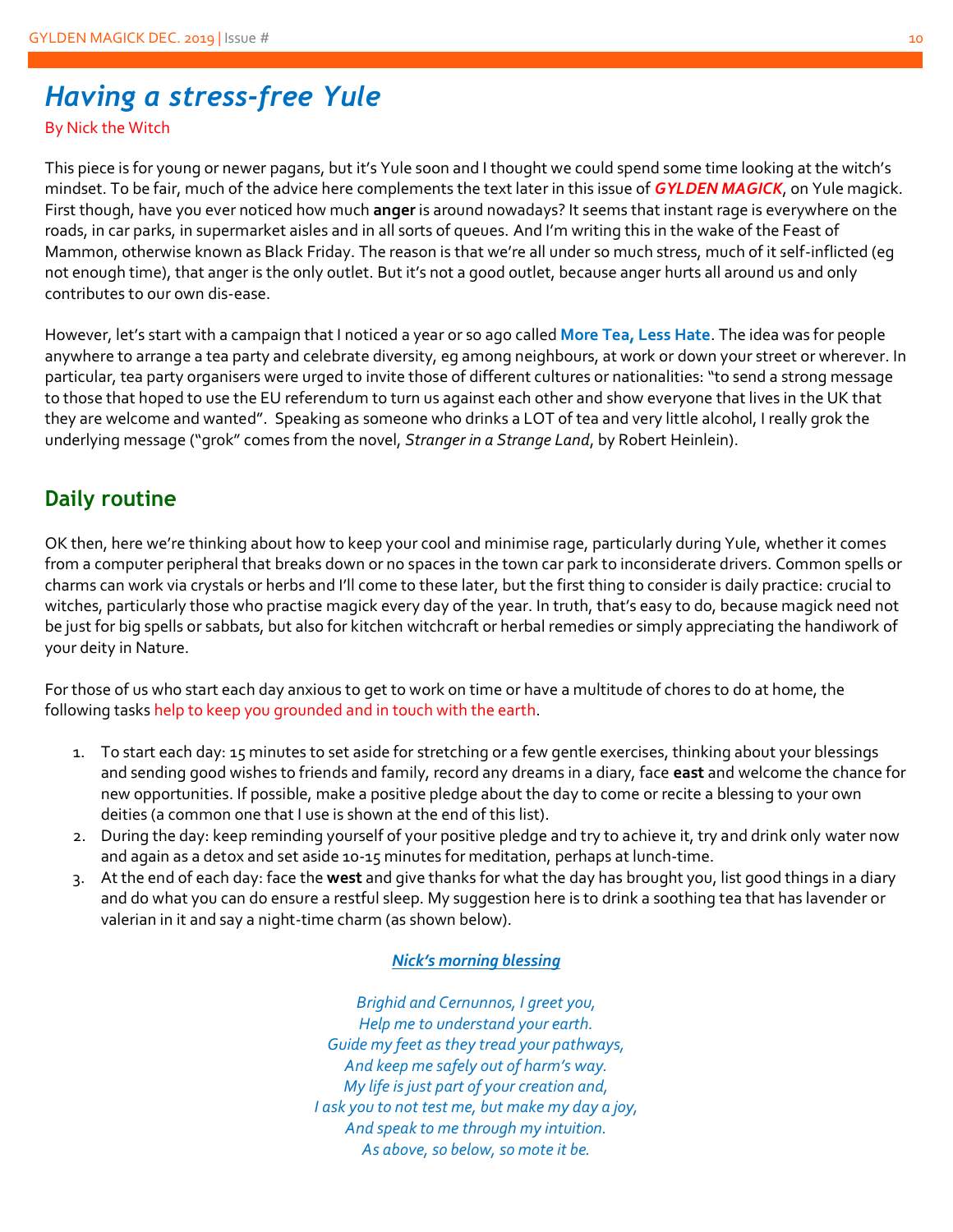# *Having a stress-free Yule*

#### By Nick the Witch

This piece is for young or newer pagans, but it's Yule soon and I thought we could spend some time looking at the witch's mindset. To be fair, much of the advice here complements the text later in this issue of *GYLDEN MAGICK*, on Yule magick. First though, have you ever noticed how much **anger** is around nowadays? It seems that instant rage is everywhere on the roads, in car parks, in supermarket aisles and in all sorts of queues. And I'm writing this in the wake of the Feast of Mammon, otherwise known as Black Friday. The reason is that we're all under so much stress, much of it self-inflicted (eg not enough time), that anger is the only outlet. But it's not a good outlet, because anger hurts all around us and only contributes to our own dis-ease.

However, let's start with a campaign that I noticed a year or so ago called **More Tea, Less Hate**. The idea was for people anywhere to arrange a tea party and celebrate diversity, eg among neighbours, at work or down your street or wherever. In particular, tea party organisers were urged to invite those of different cultures or nationalities: "to send a strong message to those that hoped to use the EU referendum to turn us against each other and show everyone that lives in the UK that they are welcome and wanted". Speaking as someone who drinks a LOT of tea and very little alcohol, I really grok the underlying message ("grok" comes from the novel, *Stranger in a Strange Land*, by Robert Heinlein).

## **Daily routine**

OK then, here we're thinking about how to keep your cool and minimise rage, particularly during Yule, whether it comes from a computer peripheral that breaks down or no spaces in the town car park to inconsiderate drivers. Common spells or charms can work via crystals or herbs and I'll come to these later, but the first thing to consider is daily practice: crucial to witches, particularly those who practise magick every day of the year. In truth, that's easy to do, because magick need not be just for big spells or sabbats, but also for kitchen witchcraft or herbal remedies or simply appreciating the handiwork of your deity in Nature.

For those of us who start each day anxious to get to work on time or have a multitude of chores to do at home, the following tasks help to keep you grounded and in touch with the earth.

- 1. To start each day: 15 minutes to set aside for stretching or a few gentle exercises, thinking about your blessings and sending good wishes to friends and family, record any dreams in a diary, face **east** and welcome the chance for new opportunities. If possible, make a positive pledge about the day to come or recite a blessing to your own deities (a common one that I use is shown at the end of this list).
- 2. During the day: keep reminding yourself of your positive pledge and try to achieve it, try and drink only water now and again as a detox and set aside 10-15 minutes for meditation, perhaps at lunch-time.
- 3. At the end of each day: face the **west** and give thanks for what the day has brought you, list good things in a diary and do what you can do ensure a restful sleep. My suggestion here is to drink a soothing tea that has lavender or valerian in it and say a night-time charm (as shown below).

#### *Nick's morning blessing*

*Brighid and Cernunnos, I greet you, Help me to understand your earth. Guide my feet as they tread your pathways, And keep me safely out of harm's way. My life is just part of your creation and, I ask you to not test me, but make my day a joy, And speak to me through my intuition. As above, so below, so mote it be.*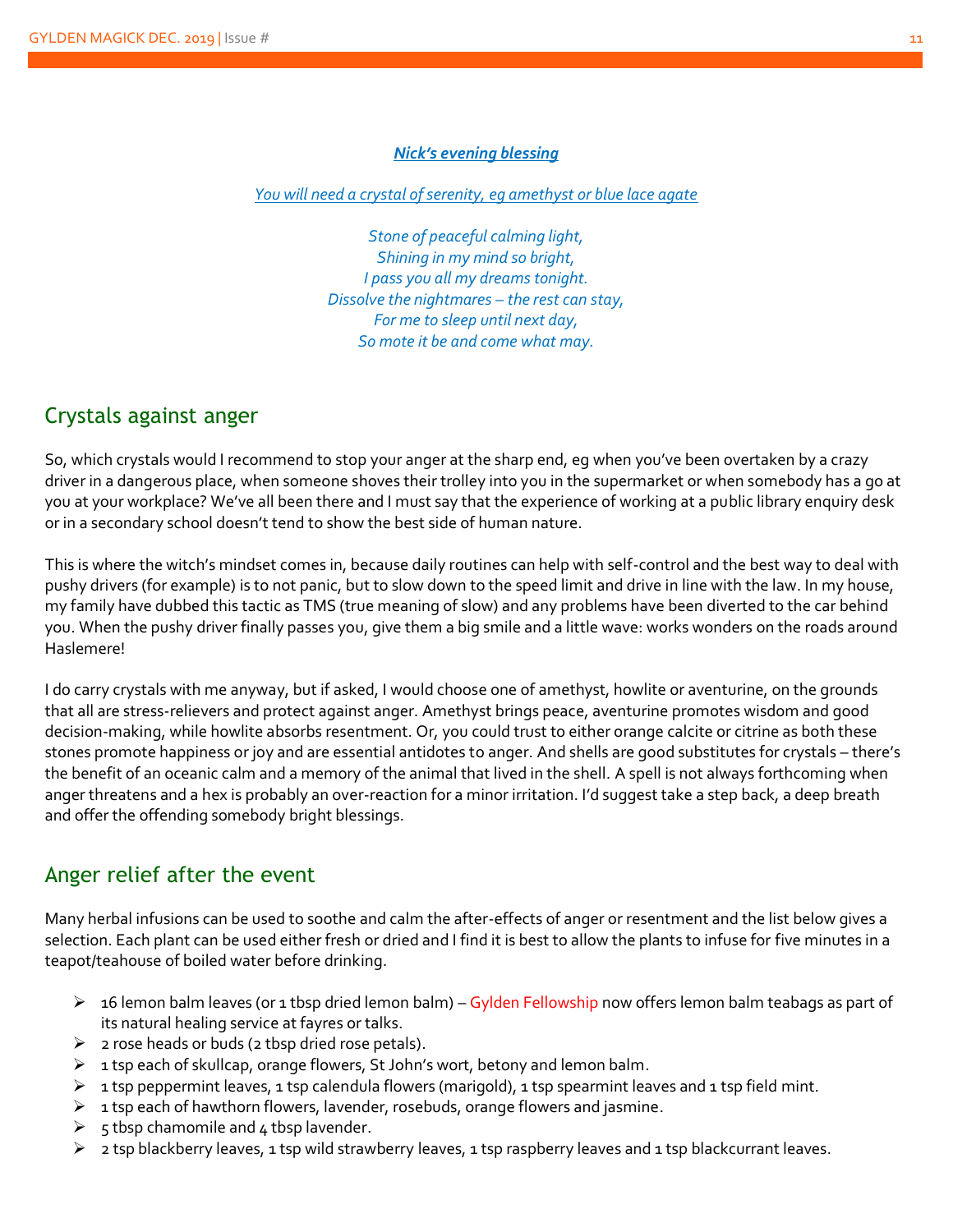#### *Nick's evening blessing*

*You will need a crystal of serenity, eg amethyst or blue lace agate*

*Stone of peaceful calming light, Shining in my mind so bright, I pass you all my dreams tonight. Dissolve the nightmares – the rest can stay, For me to sleep until next day, So mote it be and come what may.*

## Crystals against anger

So, which crystals would I recommend to stop your anger at the sharp end, eg when you've been overtaken by a crazy driver in a dangerous place, when someone shoves their trolley into you in the supermarket or when somebody has a go at you at your workplace? We've all been there and I must say that the experience of working at a public library enquiry desk or in a secondary school doesn't tend to show the best side of human nature.

This is where the witch's mindset comes in, because daily routines can help with self-control and the best way to deal with pushy drivers (for example) is to not panic, but to slow down to the speed limit and drive in line with the law. In my house, my family have dubbed this tactic as TMS (true meaning of slow) and any problems have been diverted to the car behind you. When the pushy driver finally passes you, give them a big smile and a little wave: works wonders on the roads around Haslemere!

I do carry crystals with me anyway, but if asked, I would choose one of amethyst, howlite or aventurine, on the grounds that all are stress-relievers and protect against anger. Amethyst brings peace, aventurine promotes wisdom and good decision-making, while howlite absorbs resentment. Or, you could trust to either orange calcite or citrine as both these stones promote happiness or joy and are essential antidotes to anger. And shells are good substitutes for crystals – there's the benefit of an oceanic calm and a memory of the animal that lived in the shell. A spell is not always forthcoming when anger threatens and a hex is probably an over-reaction for a minor irritation. I'd suggest take a step back, a deep breath and offer the offending somebody bright blessings.

## Anger relief after the event

Many herbal infusions can be used to soothe and calm the after-effects of anger or resentment and the list below gives a selection. Each plant can be used either fresh or dried and I find it is best to allow the plants to infuse for five minutes in a teapot/teahouse of boiled water before drinking.

- $\triangleright$  16 lemon balm leaves (or 1 tbsp dried lemon balm) Gylden Fellowship now offers lemon balm teabags as part of its natural healing service at fayres or talks.
- $\triangleright$  2 rose heads or buds (2 tbsp dried rose petals).
- ➢ 1 tsp each of skullcap, orange flowers, St John's wort, betony and lemon balm.
- ➢ 1 tsp peppermint leaves, 1 tsp calendula flowers (marigold), 1 tsp spearmint leaves and 1 tsp field mint.
- $\triangleright$  1 tsp each of hawthorn flowers, lavender, rosebuds, orange flowers and jasmine.
- $\triangleright$  5 tbsp chamomile and 4 tbsp lavender.
- ➢ 2 tsp blackberry leaves, 1 tsp wild strawberry leaves, 1 tsp raspberry leaves and 1 tsp blackcurrant leaves.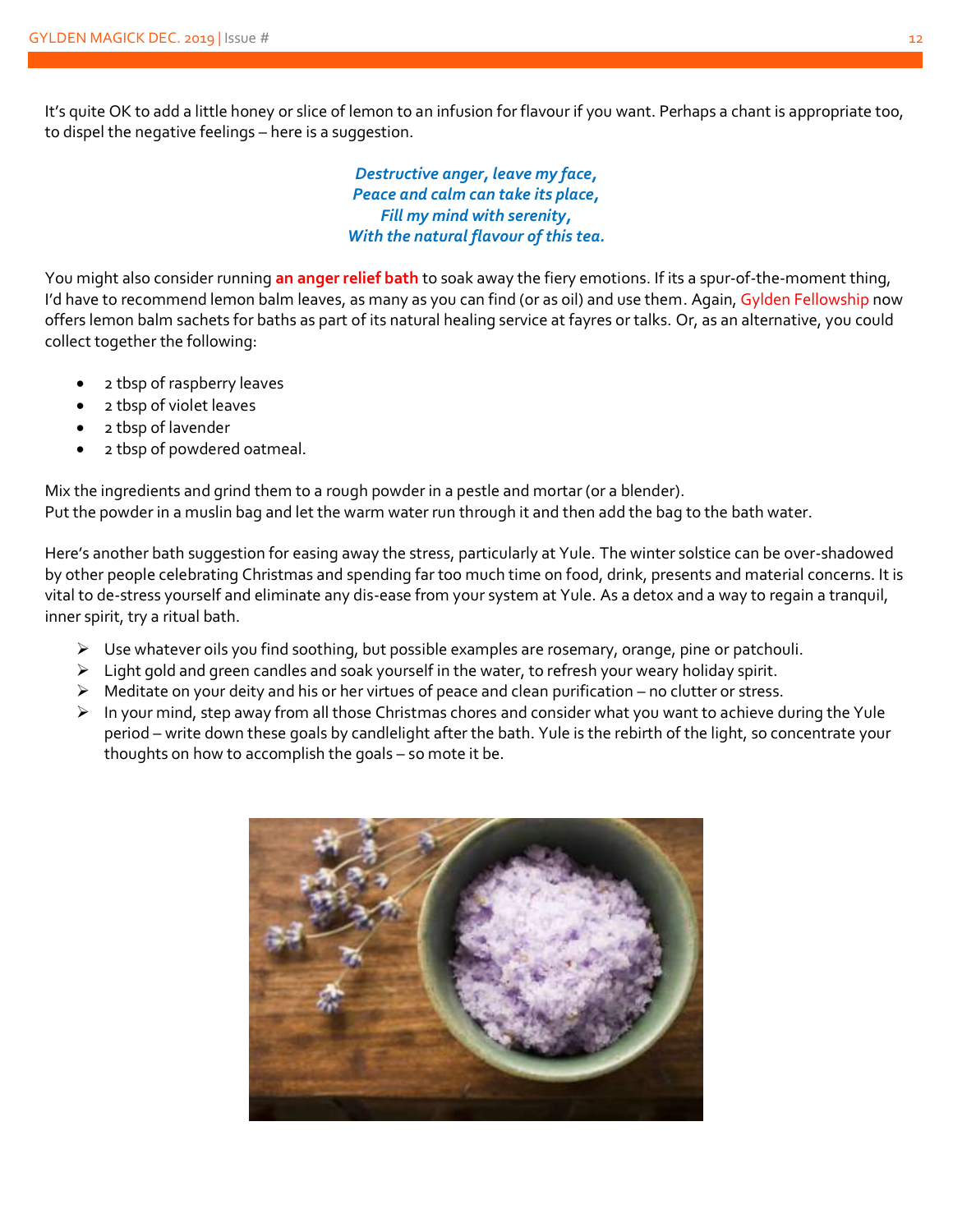It's quite OK to add a little honey or slice of lemon to an infusion for flavour if you want. Perhaps a chant is appropriate too, to dispel the negative feelings – here is a suggestion.

> *Destructive anger, leave my face, Peace and calm can take its place, Fill my mind with serenity, With the natural flavour of this tea.*

You might also consider running **an anger relief bath** to soak away the fiery emotions. If its a spur-of-the-moment thing, I'd have to recommend lemon balm leaves, as many as you can find (or as oil) and use them. Again, Gylden Fellowship now offers lemon balm sachets for baths as part of its natural healing service at fayres or talks. Or, as an alternative, you could collect together the following:

- 2 tbsp of raspberry leaves
- 2 tbsp of violet leaves
- 2 tbsp of lavender
- 2 tbsp of powdered oatmeal.

Mix the ingredients and grind them to a rough powder in a pestle and mortar (or a blender). Put the powder in a muslin bag and let the warm water run through it and then add the bag to the bath water.

Here's another bath suggestion for easing away the stress, particularly at Yule. The winter solstice can be over-shadowed by other people celebrating Christmas and spending far too much time on food, drink, presents and material concerns. It is vital to de-stress yourself and eliminate any dis-ease from your system at Yule. As a detox and a way to regain a tranquil, inner spirit, try a ritual bath.

- ➢ Use whatever oils you find soothing, but possible examples are rosemary, orange, pine or patchouli.
- ➢ Light gold and green candles and soak yourself in the water, to refresh your weary holiday spirit.
- ➢ Meditate on your deity and his or her virtues of peace and clean purification no clutter or stress.
- ➢ In your mind, step away from all those Christmas chores and consider what you want to achieve during the Yule period – write down these goals by candlelight after the bath. Yule is the rebirth of the light, so concentrate your thoughts on how to accomplish the goals – so mote it be.

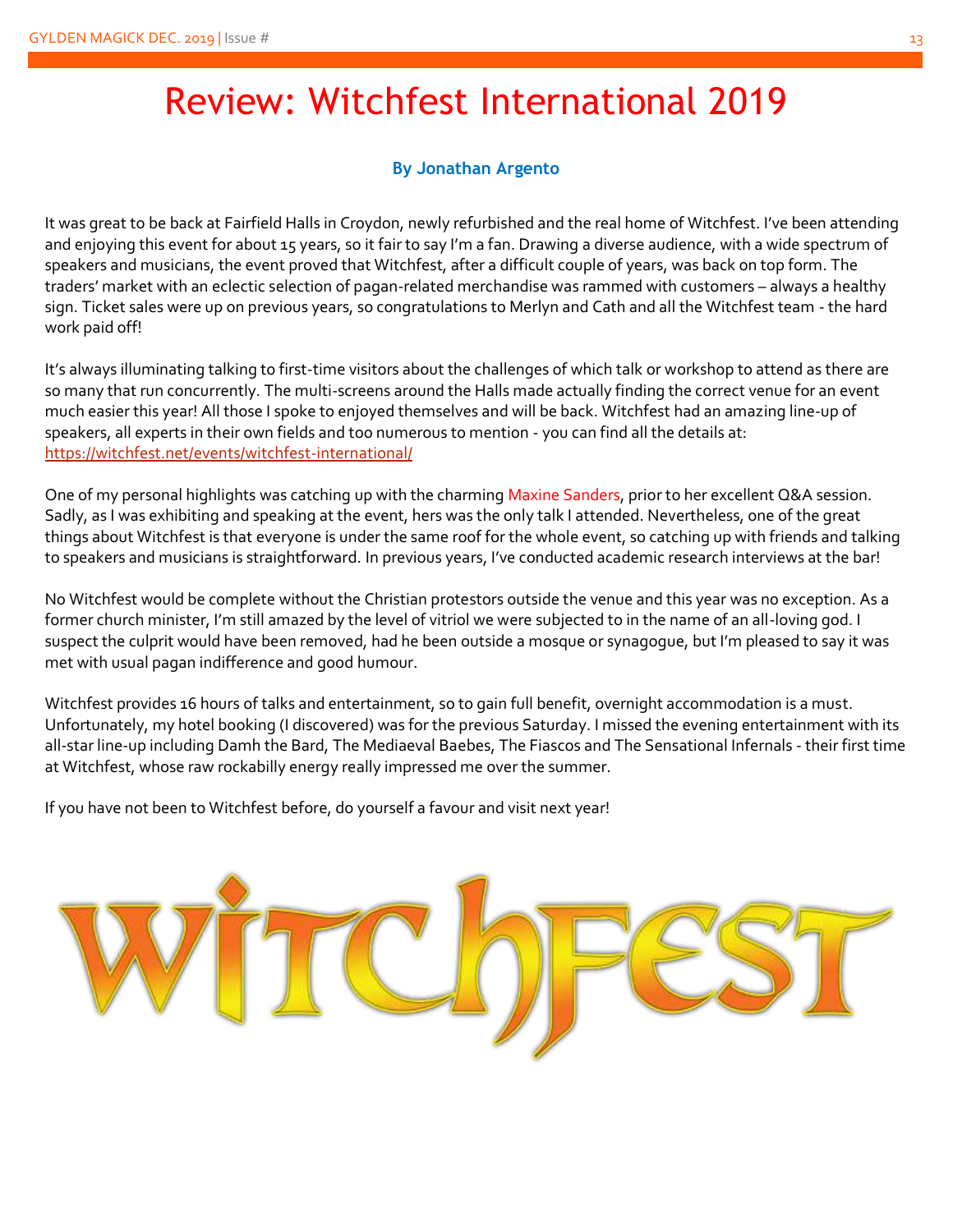# Review: Witchfest International 2019

#### **By Jonathan Argento**

It was great to be back at Fairfield Halls in Croydon, newly refurbished and the real home of Witchfest. I've been attending and enjoying this event for about 15 years, so it fair to say I'm a fan. Drawing a diverse audience, with a wide spectrum of speakers and musicians, the event proved that Witchfest, after a difficult couple of years, was back on top form. The traders' market with an eclectic selection of pagan-related merchandise was rammed with customers – always a healthy sign. Ticket sales were up on previous years, so congratulations to Merlyn and Cath and all the Witchfest team - the hard work paid off!

It's always illuminating talking to first-time visitors about the challenges of which talk or workshop to attend as there are so many that run concurrently. The multi-screens around the Halls made actually finding the correct venue for an event much easier this year! All those I spoke to enjoyed themselves and will be back. Witchfest had an amazing line-up of speakers, all experts in their own fields and too numerous to mention - you can find all the details at: <https://witchfest.net/events/witchfest-international/>

One of my personal highlights was catching up with the charming Maxine Sanders, prior to her excellent Q&A session. Sadly, as I was exhibiting and speaking at the event, hers was the only talk I attended. Nevertheless, one of the great things about Witchfest is that everyone is under the same roof for the whole event, so catching up with friends and talking to speakers and musicians is straightforward. In previous years, I've conducted academic research interviews at the bar!

No Witchfest would be complete without the Christian protestors outside the venue and this year was no exception. As a former church minister, I'm still amazed by the level of vitriol we were subjected to in the name of an all-loving god. I suspect the culprit would have been removed, had he been outside a mosque or synagogue, but I'm pleased to say it was met with usual pagan indifference and good humour.

Witchfest provides 16 hours of talks and entertainment, so to gain full benefit, overnight accommodation is a must. Unfortunately, my hotel booking (I discovered) was for the previous Saturday. I missed the evening entertainment with its all-star line-up including Damh the Bard, The Mediaeval Baebes, The Fiascos and The Sensational Infernals - their first time at Witchfest, whose raw rockabilly energy really impressed me over the summer.

If you have not been to Witchfest before, do yourself a favour and visit next year!

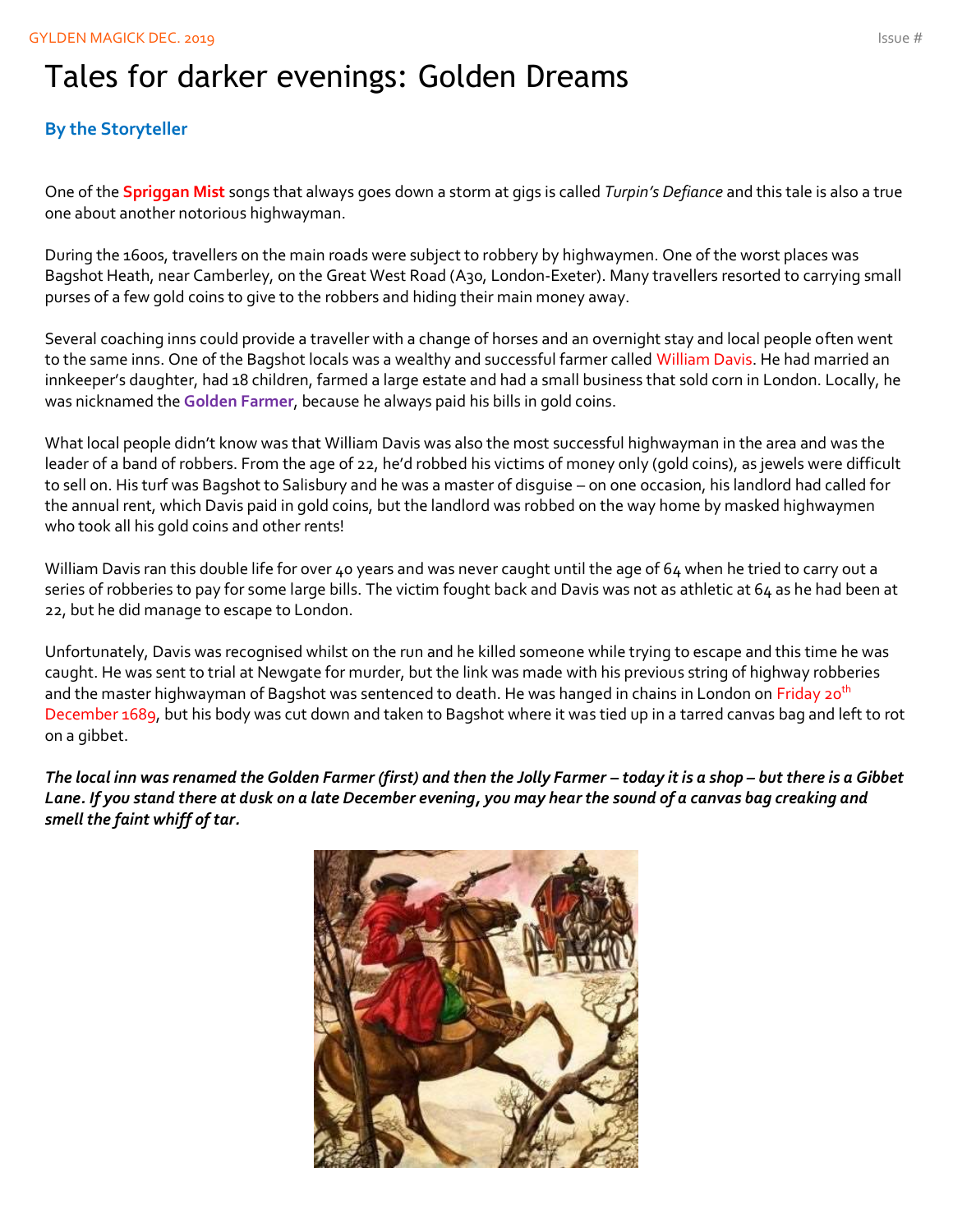# Tales for darker evenings: Golden Dreams

### **By the Storyteller**

One of the **Spriggan Mist** songs that always goes down a storm at gigs is called *Turpin's Defiance* and this tale is also a true one about another notorious highwayman.

During the 1600s, travellers on the main roads were subject to robbery by highwaymen. One of the worst places was Bagshot Heath, near Camberley, on the Great West Road (A30, London-Exeter). Many travellers resorted to carrying small purses of a few gold coins to give to the robbers and hiding their main money away.

Several coaching inns could provide a traveller with a change of horses and an overnight stay and local people often went to the same inns. One of the Bagshot locals was a wealthy and successful farmer called William Davis. He had married an innkeeper's daughter, had 18 children, farmed a large estate and had a small business that sold corn in London. Locally, he was nicknamed the **Golden Farmer**, because he always paid his bills in gold coins.

What local people didn't know was that William Davis was also the most successful highwayman in the area and was the leader of a band of robbers. From the age of 22, he'd robbed his victims of money only (gold coins), as jewels were difficult to sell on. His turf was Bagshot to Salisbury and he was a master of disguise – on one occasion, his landlord had called for the annual rent, which Davis paid in gold coins, but the landlord was robbed on the way home by masked highwaymen who took all his gold coins and other rents!

William Davis ran this double life for over 40 years and was never caught until the age of 64 when he tried to carry out a series of robberies to pay for some large bills. The victim fought back and Davis was not as athletic at 64 as he had been at 22, but he did manage to escape to London.

Unfortunately, Davis was recognised whilst on the run and he killed someone while trying to escape and this time he was caught. He was sent to trial at Newgate for murder, but the link was made with his previous string of highway robberies and the master highwayman of Bagshot was sentenced to death. He was hanged in chains in London on Friday 20<sup>th</sup> December 1689, but his body was cut down and taken to Bagshot where it was tied up in a tarred canvas bag and left to rot on a gibbet.

*The local inn was renamed the Golden Farmer (first) and then the Jolly Farmer – today it is a shop – but there is a Gibbet Lane. If you stand there at dusk on a late December evening, you may hear the sound of a canvas bag creaking and smell the faint whiff of tar.*

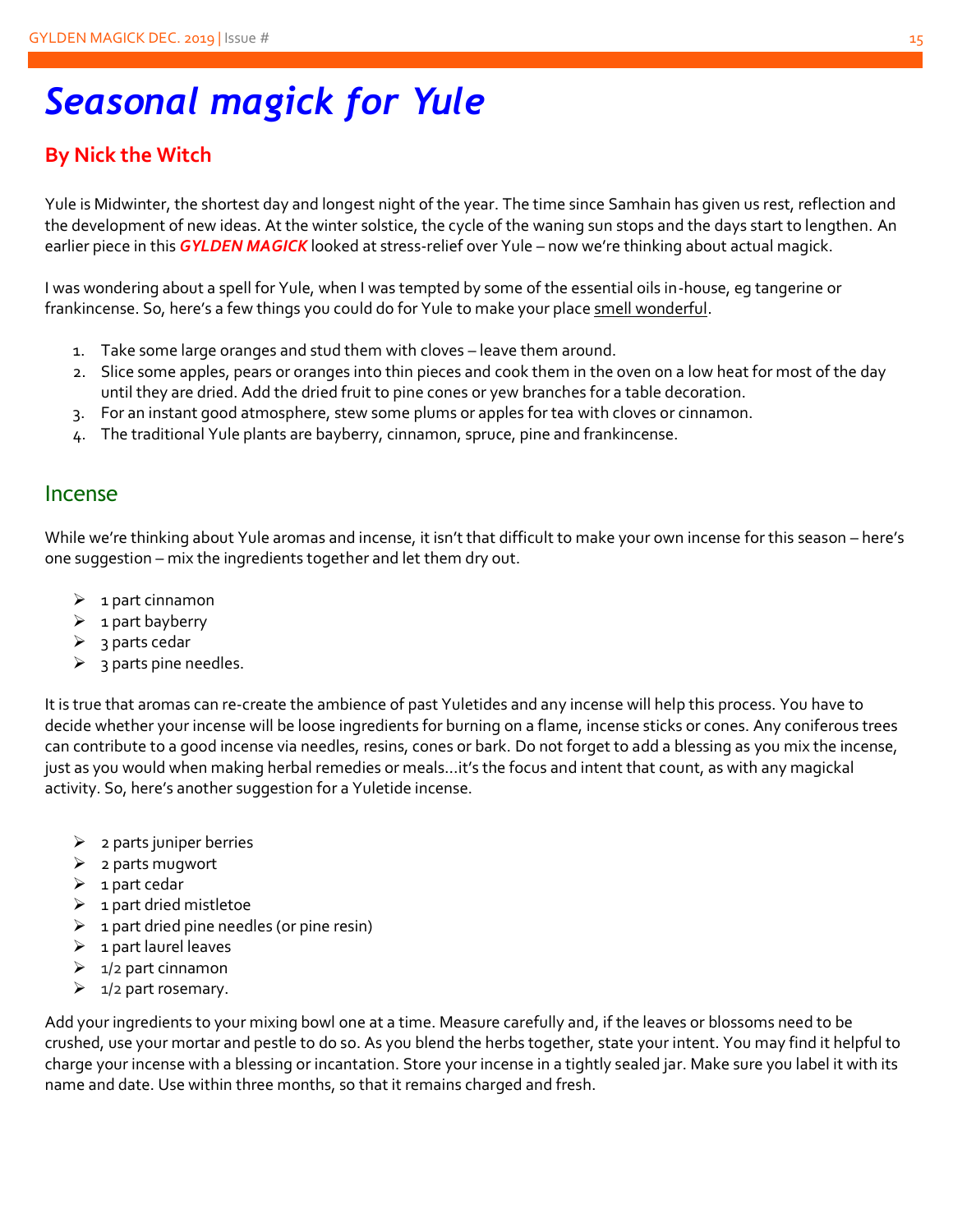# *Seasonal magick for Yule*

## **By Nick the Witch**

Yule is Midwinter, the shortest day and longest night of the year. The time since Samhain has given us rest, reflection and the development of new ideas. At the winter solstice, the cycle of the waning sun stops and the days start to lengthen. An earlier piece in this *GYLDEN MAGICK* looked at stress-relief over Yule – now we're thinking about actual magick.

I was wondering about a spell for Yule, when I was tempted by some of the essential oils in-house, eg tangerine or frankincense. So, here's a few things you could do for Yule to make your place smell wonderful.

- 1. Take some large oranges and stud them with cloves leave them around.
- 2. Slice some apples, pears or oranges into thin pieces and cook them in the oven on a low heat for most of the day until they are dried. Add the dried fruit to pine cones or yew branches for a table decoration.
- 3. For an instant good atmosphere, stew some plums or apples for tea with cloves or cinnamon.
- 4. The traditional Yule plants are bayberry, cinnamon, spruce, pine and frankincense.

#### Incense

While we're thinking about Yule aromas and incense, it isn't that difficult to make your own incense for this season – here's one suggestion – mix the ingredients together and let them dry out.

- $\triangleright$  1 part cinnamon
- $\triangleright$  1 part bayberry
- $\geq$  3 parts cedar
- $\triangleright$  3 parts pine needles.

It is true that aromas can re-create the ambience of past Yuletides and any incense will help this process. You have to decide whether your incense will be loose ingredients for burning on a flame, incense sticks or cones. Any coniferous trees can contribute to a good incense via needles, resins, cones or bark. Do not forget to add a blessing as you mix the incense, just as you would when making herbal remedies or meals…it's the focus and intent that count, as with any magickal activity. So, here's another suggestion for a Yuletide incense.

- $\geq$  2 parts juniper berries
- ➢ 2 parts mugwort
- $\triangleright$  1 part cedar
- $\geq 1$  part dried mistletoe
- $\triangleright$  1 part dried pine needles (or pine resin)
- $\triangleright$  1 part laurel leaves
- $\geq 1/2$  part cinnamon
- $\triangleright$  1/2 part rosemary.

Add your ingredients to your mixing bowl one at a time. Measure carefully and, if the leaves or blossoms need to be crushed, use your mortar and pestle to do so. As you blend the herbs together, state your intent. You may find it helpful to charge your incense with a blessing or incantation. Store your incense in a tightly sealed jar. Make sure you label it with its name and date. Use within three months, so that it remains charged and fresh.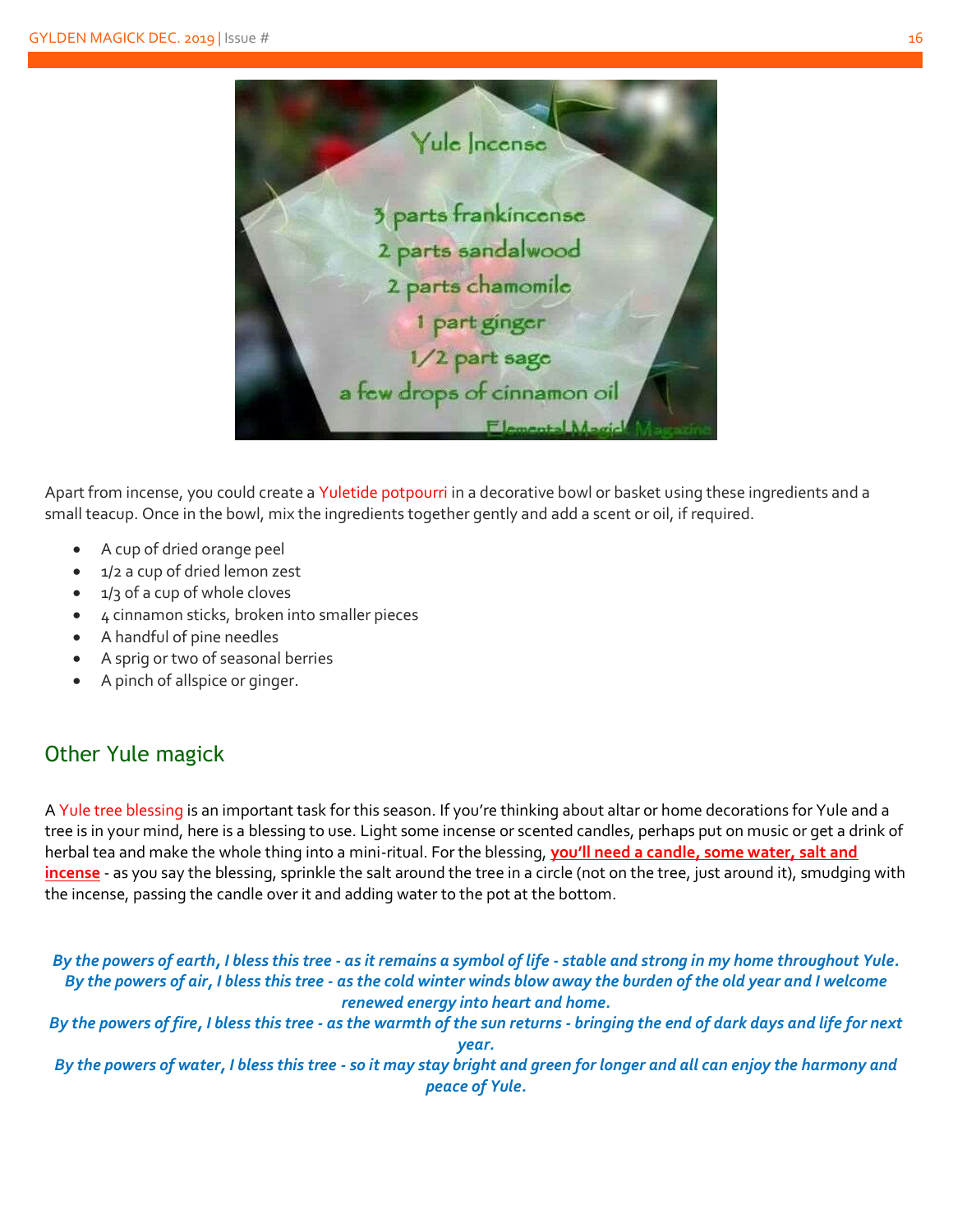| Yule Incense                |
|-----------------------------|
| 3 parts frankincense        |
| 2 parts sandalwood          |
| 2 parts chamomile           |
| 1 part ginger               |
| 1/2 part sage               |
| a few drops of cinnamon oil |
| Elemental Magic             |

Apart from incense, you could create a Yuletide potpourri in a decorative bowl or basket using these ingredients and a small teacup. Once in the bowl, mix the ingredients together gently and add a scent or oil, if required.

- A cup of dried orange peel
- 1/2 a cup of dried lemon zest
- $\bullet$  1/3 of a cup of whole cloves
- 4 cinnamon sticks, broken into smaller pieces
- A handful of pine needles
- A sprig or two of seasonal berries
- A pinch of allspice or ginger.

## Other Yule magick

A Yule tree blessing is an important task for this season. If you're thinking about altar or home decorations for Yule and a tree is in your mind, here is a blessing to use. Light some incense or scented candles, perhaps put on music or get a drink of herbal tea and make the whole thing into a mini-ritual. For the blessing, **you'll need a candle, some water, salt and incense** - as you say the blessing, sprinkle the salt around the tree in a circle (not on the tree, just around it), smudging with the incense, passing the candle over it and adding water to the pot at the bottom.

*By the powers of earth, I bless this tree - as it remains a symbol of life - stable and strong in my home throughout Yule. By the powers of air, I bless this tree - as the cold winter winds blow away the burden of the old year and I welcome renewed energy into heart and home. By the powers of fire, I bless this tree - as the warmth of the sun returns - bringing the end of dark days and life for next year. By the powers of water, I bless this tree - so it may stay bright and green for longer and all can enjoy the harmony and* 

*peace of Yule.*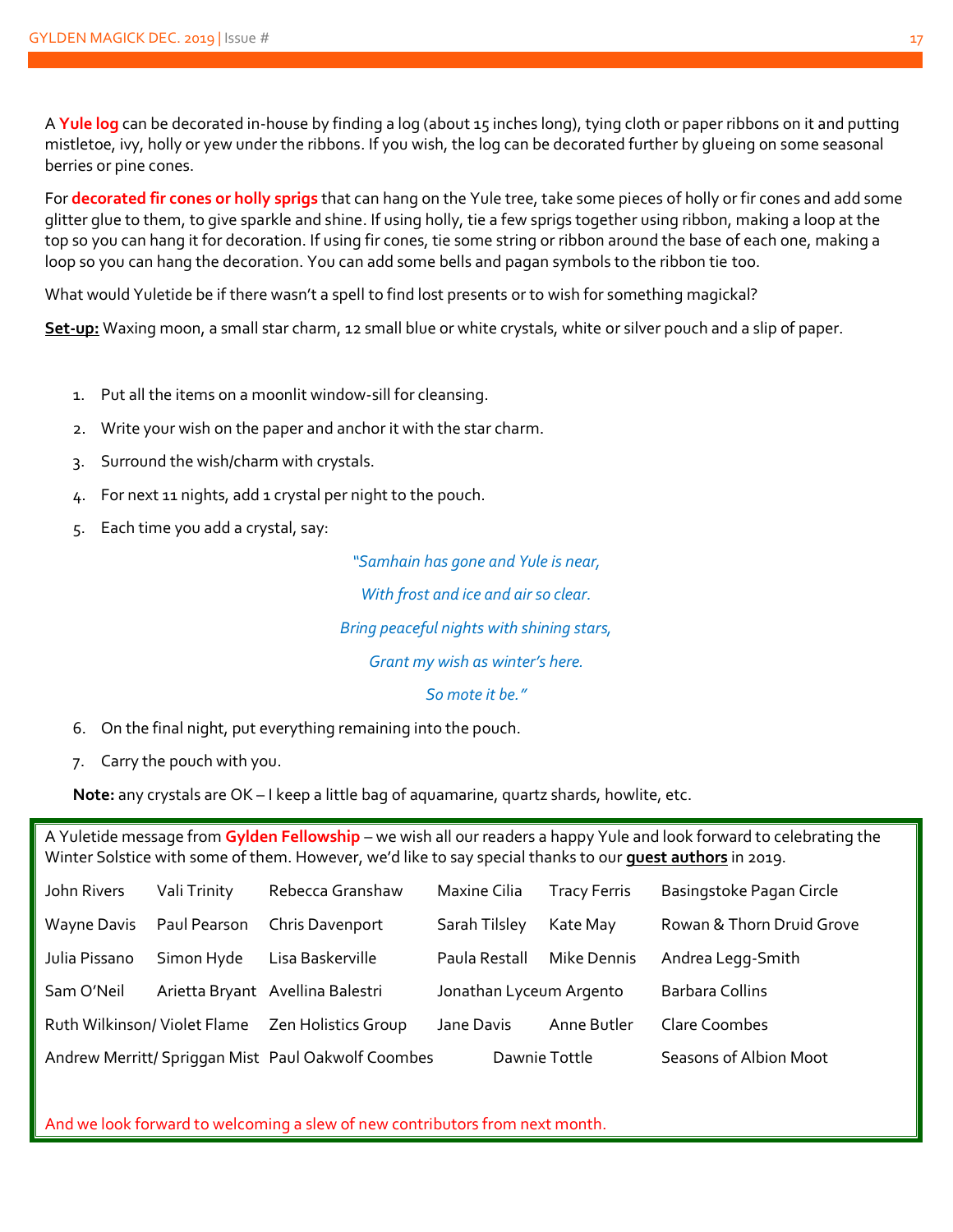A **Yule log** can be decorated in-house by finding a log (about 15 inches long), tying cloth or paper ribbons on it and putting mistletoe, ivy, holly or yew under the ribbons. If you wish, the log can be decorated further by glueing on some seasonal berries or pine cones.

For **decorated fir cones or holly sprigs** that can hang on the Yule tree, take some pieces of holly or fir cones and add some glitter glue to them, to give sparkle and shine. If using holly, tie a few sprigs together using ribbon, making a loop at the top so you can hang it for decoration. If using fir cones, tie some string or ribbon around the base of each one, making a loop so you can hang the decoration. You can add some bells and pagan symbols to the ribbon tie too.

What would Yuletide be if there wasn't a spell to find lost presents or to wish for something magickal?

**Set-up:** Waxing moon, a small star charm, 12 small blue or white crystals, white or silver pouch and a slip of paper.

- 1. Put all the items on a moonlit window-sill for cleansing.
- 2. Write your wish on the paper and anchor it with the star charm.
- 3. Surround the wish/charm with crystals.
- 4. For next 11 nights, add 1 crystal per night to the pouch.
- 5. Each time you add a crystal, say:

*"Samhain has gone and Yule is near, With frost and ice and air so clear. Bring peaceful nights with shining stars, Grant my wish as winter's here. So mote it be."*

- 6. On the final night, put everything remaining into the pouch.
- 7. Carry the pouch with you.

**Note:** any crystals are OK – I keep a little bag of aquamarine, quartz shards, howlite, etc.

A Yuletide message from **Gylden Fellowship** – we wish all our readers a happy Yule and look forward to celebrating the Winter Solstice with some of them. However, we'd like to say special thanks to our **guest authors** in 2019.

| John Rivers                  | Vali Trinity | Rebecca Granshaw                                   | Maxine Cilia            | <b>Tracy Ferris</b> | Basingstoke Pagan Circle  |
|------------------------------|--------------|----------------------------------------------------|-------------------------|---------------------|---------------------------|
| Wayne Davis                  | Paul Pearson | Chris Davenport                                    | Sarah Tilsley           | Kate May            | Rowan & Thorn Druid Grove |
| Julia Pissano                | Simon Hyde   | Lisa Baskerville                                   | Paula Restall           | Mike Dennis         | Andrea Legg-Smith         |
| Sam O'Neil                   |              | Arietta Bryant Avellina Balestri                   | Jonathan Lyceum Argento |                     | <b>Barbara Collins</b>    |
| Ruth Wilkinson/ Violet Flame |              | Zen Holistics Group                                | Jane Davis              | Anne Butler         | Clare Coombes             |
|                              |              | Andrew Merritt/ Spriggan Mist Paul Oakwolf Coombes |                         | Dawnie Tottle       | Seasons of Albion Moot    |

And we look forward to welcoming a slew of new contributors from next month.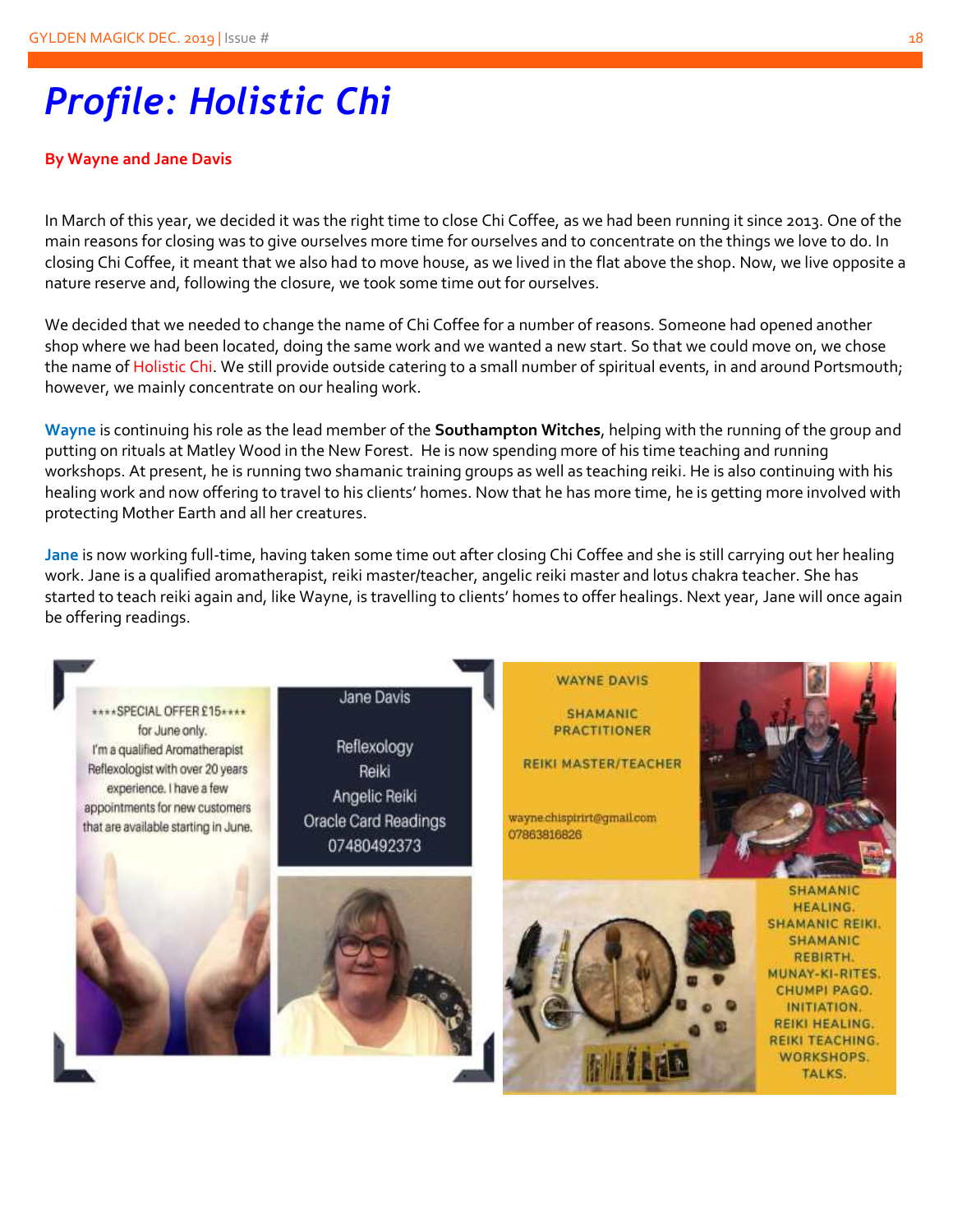# *Profile: Holistic Chi*

#### **By Wayne and Jane Davis**

In March of this year, we decided it was the right time to close Chi Coffee, as we had been running it since 2013. One of the main reasons for closing was to give ourselves more time for ourselves and to concentrate on the things we love to do. In closing Chi Coffee, it meant that we also had to move house, as we lived in the flat above the shop. Now, we live opposite a nature reserve and, following the closure, we took some time out for ourselves.

We decided that we needed to change the name of Chi Coffee for a number of reasons. Someone had opened another shop where we had been located, doing the same work and we wanted a new start. So that we could move on, we chose the name of Holistic Chi. We still provide outside catering to a small number of spiritual events, in and around Portsmouth; however, we mainly concentrate on our healing work.

**Wayne** is continuing his role as the lead member of the **Southampton Witches**, helping with the running of the group and putting on rituals at Matley Wood in the New Forest. He is now spending more of his time teaching and running workshops. At present, he is running two shamanic training groups as well as teaching reiki. He is also continuing with his healing work and now offering to travel to his clients' homes. Now that he has more time, he is getting more involved with protecting Mother Earth and all her creatures.

**Jane** is now working full-time, having taken some time out after closing Chi Coffee and she is still carrying out her healing work. Jane is a qualified aromatherapist, reiki master/teacher, angelic reiki master and lotus chakra teacher. She has started to teach reiki again and, like Wayne, is travelling to clients' homes to offer healings. Next year, Jane will once again be offering readings.

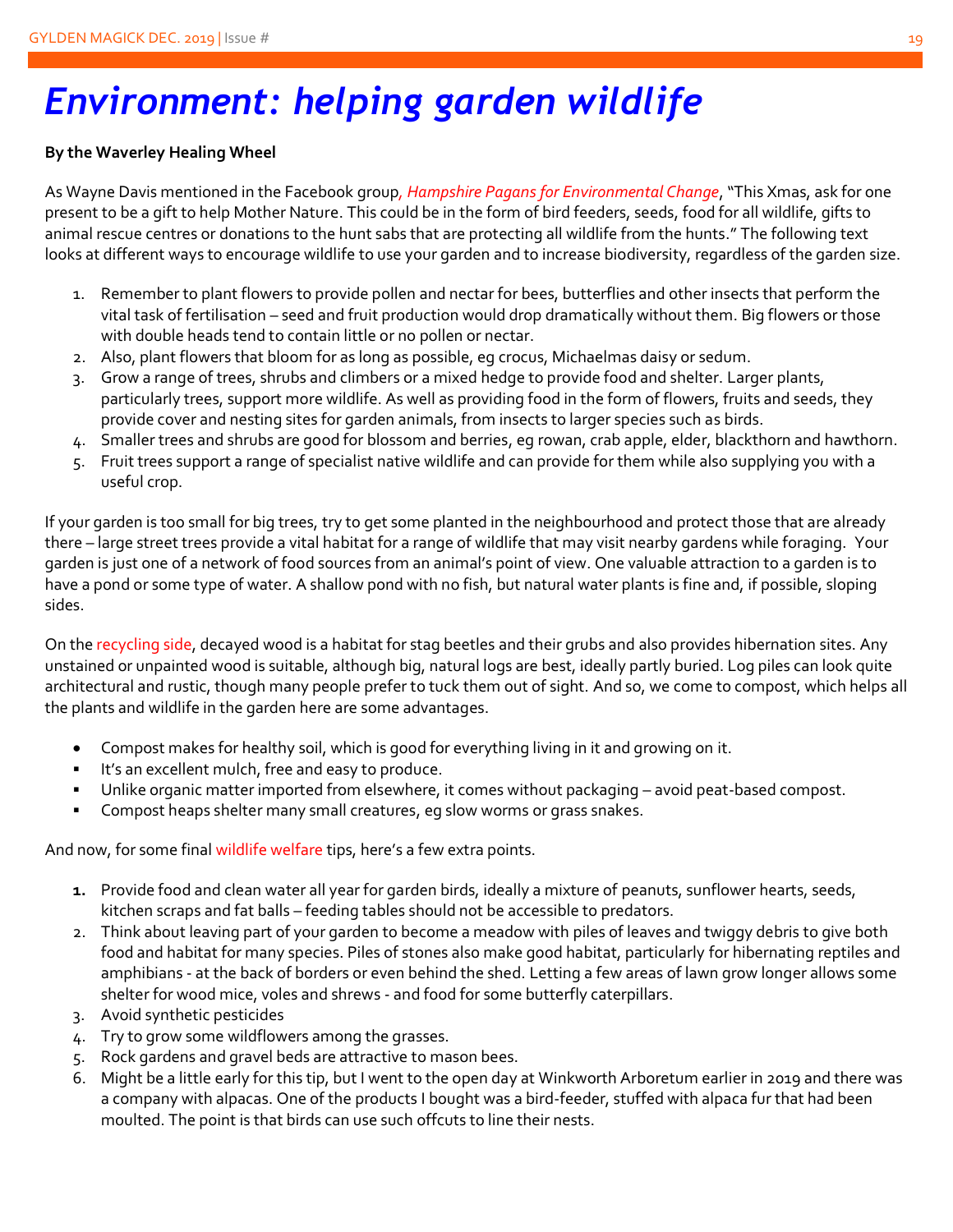# *Environment: helping garden wildlife*

#### **By the Waverley Healing Wheel**

As Wayne Davis mentioned in the Facebook group*, Hampshire Pagans for Environmental Change*, "This Xmas, ask for one present to be a gift to help Mother Nature. This could be in the form of bird feeders, seeds, food for all wildlife, gifts to animal rescue centres or donations to the hunt sabs that are protecting all wildlife from the hunts." The following text looks at different ways to encourage wildlife to use your garden and to increase biodiversity, regardless of the garden size.

- 1. Remember to plant flowers to provide pollen and nectar for bees, butterflies and other insects that perform the vital task of fertilisation – seed and fruit production would drop dramatically without them. Big flowers or those with double heads tend to contain little or no pollen or nectar.
- 2. Also, plant flowers that bloom for as long as possible, eg crocus, Michaelmas daisy or sedum.
- 3. Grow a range of trees, shrubs and climbers or a mixed hedge to provide food and shelter. Larger plants, particularly trees, support more wildlife. As well as providing food in the form of flowers, fruits and seeds, they provide cover and nesting sites for garden animals, from insects to larger species such as birds.
- 4. Smaller trees and shrubs are good for blossom and berries, eg rowan, crab apple, elder, blackthorn and hawthorn.
- 5. Fruit trees support a range of specialist native wildlife and can provide for them while also supplying you with a useful crop.

If your garden is too small for big trees, try to get some planted in the neighbourhood and protect those that are already there – large street trees provide a vital habitat for a range of wildlife that may visit nearby gardens while foraging. Your garden is just one of a network of food sources from an animal's point of view. One valuable attraction to a garden is to have a pond or some type of water. A shallow pond with no fish, but natural water plants is fine and, if possible, sloping sides.

On the recycling side, decayed wood is a habitat for stag beetles and their grubs and also provides hibernation sites. Any unstained or unpainted wood is suitable, although big, natural logs are best, ideally partly buried. Log piles can look quite architectural and rustic, though many people prefer to tuck them out of sight. And so, we come to compost, which helps all the plants and wildlife in the garden here are some advantages.

- Compost makes for healthy soil, which is good for everything living in it and growing on it.
- It's an excellent mulch, free and easy to produce.
- Unlike organic matter imported from elsewhere, it comes without packaging avoid peat-based compost.
- Compost heaps shelter many small creatures, eg slow worms or grass snakes.

And now, for some final wildlife welfare tips, here's a few extra points.

- **1.** Provide food and clean water all year for garden birds, ideally a mixture of peanuts, sunflower hearts, seeds, kitchen scraps and fat balls – feeding tables should not be accessible to predators.
- 2. Think about leaving part of your garden to become a meadow with piles of leaves and twiggy debris to give both food and habitat for many species. Piles of stones also make good habitat, particularly for hibernating reptiles and amphibians - at the back of borders or even behind the shed. Letting a few areas of lawn grow longer allows some shelter for wood mice, voles and shrews - and food for some butterfly caterpillars.
- 3. Avoid synthetic pesticides
- 4. Try to grow some wildflowers among the grasses.
- 5. Rock gardens and gravel beds are attractive to mason bees.
- 6. Might be a little early for this tip, but I went to the open day at Winkworth Arboretum earlier in 2019 and there was a company with alpacas. One of the products I bought was a bird-feeder, stuffed with alpaca fur that had been moulted. The point is that birds can use such offcuts to line their nests.